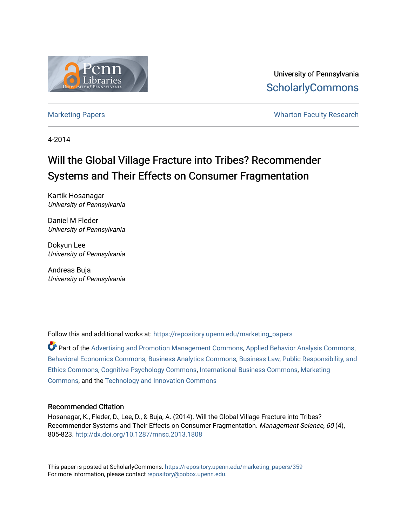

University of Pennsylvania **ScholarlyCommons** 

[Marketing Papers](https://repository.upenn.edu/marketing_papers) **Marketing Papers Marketing Papers Wharton Faculty Research** 

4-2014

# Will the Global Village Fracture into Tribes? Recommender Systems and Their Effects on Consumer Fragmentation

Kartik Hosanagar University of Pennsylvania

Daniel M Fleder University of Pennsylvania

Dokyun Lee University of Pennsylvania

Andreas Buja University of Pennsylvania

Follow this and additional works at: [https://repository.upenn.edu/marketing\\_papers](https://repository.upenn.edu/marketing_papers?utm_source=repository.upenn.edu%2Fmarketing_papers%2F359&utm_medium=PDF&utm_campaign=PDFCoverPages)

Part of the [Advertising and Promotion Management Commons,](http://network.bepress.com/hgg/discipline/626?utm_source=repository.upenn.edu%2Fmarketing_papers%2F359&utm_medium=PDF&utm_campaign=PDFCoverPages) [Applied Behavior Analysis Commons](http://network.bepress.com/hgg/discipline/1235?utm_source=repository.upenn.edu%2Fmarketing_papers%2F359&utm_medium=PDF&utm_campaign=PDFCoverPages), [Behavioral Economics Commons,](http://network.bepress.com/hgg/discipline/341?utm_source=repository.upenn.edu%2Fmarketing_papers%2F359&utm_medium=PDF&utm_campaign=PDFCoverPages) [Business Analytics Commons,](http://network.bepress.com/hgg/discipline/1398?utm_source=repository.upenn.edu%2Fmarketing_papers%2F359&utm_medium=PDF&utm_campaign=PDFCoverPages) [Business Law, Public Responsibility, and](http://network.bepress.com/hgg/discipline/628?utm_source=repository.upenn.edu%2Fmarketing_papers%2F359&utm_medium=PDF&utm_campaign=PDFCoverPages) [Ethics Commons,](http://network.bepress.com/hgg/discipline/628?utm_source=repository.upenn.edu%2Fmarketing_papers%2F359&utm_medium=PDF&utm_campaign=PDFCoverPages) [Cognitive Psychology Commons,](http://network.bepress.com/hgg/discipline/408?utm_source=repository.upenn.edu%2Fmarketing_papers%2F359&utm_medium=PDF&utm_campaign=PDFCoverPages) [International Business Commons,](http://network.bepress.com/hgg/discipline/634?utm_source=repository.upenn.edu%2Fmarketing_papers%2F359&utm_medium=PDF&utm_campaign=PDFCoverPages) [Marketing](http://network.bepress.com/hgg/discipline/638?utm_source=repository.upenn.edu%2Fmarketing_papers%2F359&utm_medium=PDF&utm_campaign=PDFCoverPages)  [Commons](http://network.bepress.com/hgg/discipline/638?utm_source=repository.upenn.edu%2Fmarketing_papers%2F359&utm_medium=PDF&utm_campaign=PDFCoverPages), and the [Technology and Innovation Commons](http://network.bepress.com/hgg/discipline/644?utm_source=repository.upenn.edu%2Fmarketing_papers%2F359&utm_medium=PDF&utm_campaign=PDFCoverPages) 

# Recommended Citation

Hosanagar, K., Fleder, D., Lee, D., & Buja, A. (2014). Will the Global Village Fracture into Tribes? Recommender Systems and Their Effects on Consumer Fragmentation. Management Science, 60 (4), 805-823. <http://dx.doi.org/10.1287/mnsc.2013.1808>

This paper is posted at ScholarlyCommons. [https://repository.upenn.edu/marketing\\_papers/359](https://repository.upenn.edu/marketing_papers/359)  For more information, please contact [repository@pobox.upenn.edu.](mailto:repository@pobox.upenn.edu)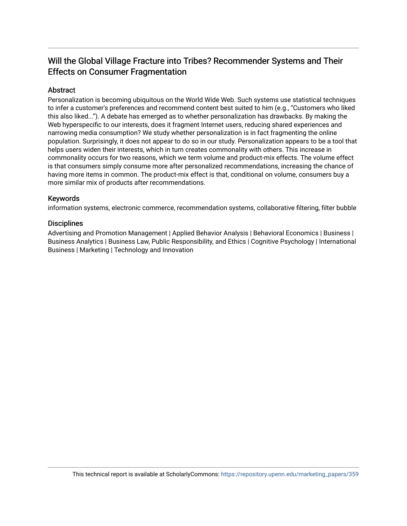# Will the Global Village Fracture into Tribes? Recommender Systems and Their Effects on Consumer Fragmentation

# **Abstract**

Personalization is becoming ubiquitous on the World Wide Web. Such systems use statistical techniques to infer a customer's preferences and recommend content best suited to him (e.g., "Customers who liked this also liked..."). A debate has emerged as to whether personalization has drawbacks. By making the Web hyperspecific to our interests, does it fragment Internet users, reducing shared experiences and narrowing media consumption? We study whether personalization is in fact fragmenting the online population. Surprisingly, it does not appear to do so in our study. Personalization appears to be a tool that helps users widen their interests, which in turn creates commonality with others. This increase in commonality occurs for two reasons, which we term volume and product-mix effects. The volume effect is that consumers simply consume more after personalized recommendations, increasing the chance of having more items in common. The product-mix effect is that, conditional on volume, consumers buy a more similar mix of products after recommendations.

# Keywords

information systems, electronic commerce, recommendation systems, collaborative filtering, filter bubble

# **Disciplines**

Advertising and Promotion Management | Applied Behavior Analysis | Behavioral Economics | Business | Business Analytics | Business Law, Public Responsibility, and Ethics | Cognitive Psychology | International Business | Marketing | Technology and Innovation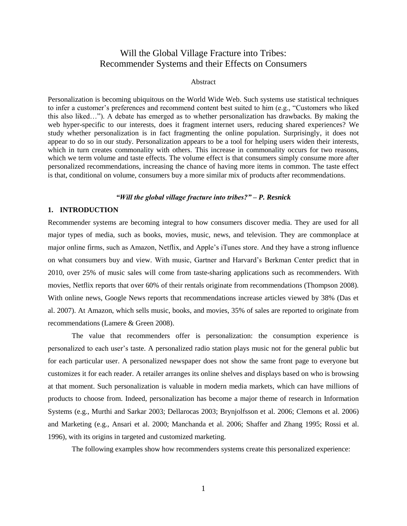# Will the Global Village Fracture into Tribes: Recommender Systems and their Effects on Consumers

# Abstract

Personalization is becoming ubiquitous on the World Wide Web. Such systems use statistical techniques to infer a customer's preferences and recommend content best suited to him (e.g., "Customers who liked this also liked…"). A debate has emerged as to whether personalization has drawbacks. By making the web hyper-specific to our interests, does it fragment internet users, reducing shared experiences? We study whether personalization is in fact fragmenting the online population. Surprisingly, it does not appear to do so in our study. Personalization appears to be a tool for helping users widen their interests, which in turn creates commonality with others. This increase in commonality occurs for two reasons, which we term volume and taste effects. The volume effect is that consumers simply consume more after personalized recommendations, increasing the chance of having more items in common. The taste effect is that, conditional on volume, consumers buy a more similar mix of products after recommendations.

# *"Will the global village fracture into tribes?" – P. Resnick*

# **1. INTRODUCTION**

Recommender systems are becoming integral to how consumers discover media. They are used for all major types of media, such as books, movies, music, news, and television. They are commonplace at major online firms, such as Amazon, Netflix, and Apple's iTunes store. And they have a strong influence on what consumers buy and view. With music, Gartner and Harvard's Berkman Center predict that in 2010, over 25% of music sales will come from taste-sharing applications such as recommenders. With movies, Netflix reports that over 60% of their rentals originate from recommendations (Thompson 2008). With online news, Google News reports that recommendations increase articles viewed by 38% (Das et al. 2007). At Amazon, which sells music, books, and movies, 35% of sales are reported to originate from recommendations (Lamere & Green 2008).

The value that recommenders offer is personalization: the consumption experience is personalized to each user's taste. A personalized radio station plays music not for the general public but for each particular user. A personalized newspaper does not show the same front page to everyone but customizes it for each reader. A retailer arranges its online shelves and displays based on who is browsing at that moment. Such personalization is valuable in modern media markets, which can have millions of products to choose from. Indeed, personalization has become a major theme of research in Information Systems (e.g., Murthi and Sarkar 2003; Dellarocas 2003; Brynjolfsson et al. 2006; Clemons et al. 2006) and Marketing (e.g., Ansari et al. 2000; Manchanda et al. 2006; Shaffer and Zhang 1995; Rossi et al. 1996), with its origins in targeted and customized marketing.

The following examples show how recommenders systems create this personalized experience: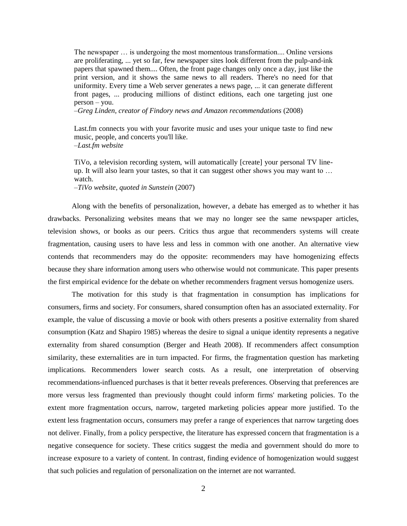The newspaper … is undergoing the most momentous transformation.... Online versions are proliferating, ... yet so far, few newspaper sites look different from the pulp-and-ink papers that spawned them.... Often, the front page changes only once a day, just like the print version, and it shows the same news to all readers. There's no need for that uniformity. Every time a Web server generates a news page, ... it can generate different front pages, ... producing millions of distinct editions, each one targeting just one person – you.

–*Greg Linden, creator of Findory news and Amazon recommendations* (2008)

Last.fm connects you with your favorite music and uses your unique taste to find new music, people, and concerts you'll like. –*Last.fm website*

TiVo, a television recording system, will automatically [create] your personal TV lineup. It will also learn your tastes, so that it can suggest other shows you may want to … watch.

–*TiVo website, quoted in Sunstein* (2007)

Along with the benefits of personalization, however, a debate has emerged as to whether it has drawbacks. Personalizing websites means that we may no longer see the same newspaper articles, television shows, or books as our peers. Critics thus argue that recommenders systems will create fragmentation, causing users to have less and less in common with one another. An alternative view contends that recommenders may do the opposite: recommenders may have homogenizing effects because they share information among users who otherwise would not communicate. This paper presents the first empirical evidence for the debate on whether recommenders fragment versus homogenize users.

The motivation for this study is that fragmentation in consumption has implications for consumers, firms and society. For consumers, shared consumption often has an associated externality. For example, the value of discussing a movie or book with others presents a positive externality from shared consumption (Katz and Shapiro 1985) whereas the desire to signal a unique identity represents a negative externality from shared consumption (Berger and Heath 2008). If recommenders affect consumption similarity, these externalities are in turn impacted. For firms, the fragmentation question has marketing implications. Recommenders lower search costs. As a result, one interpretation of observing recommendations-influenced purchases is that it better reveals preferences. Observing that preferences are more versus less fragmented than previously thought could inform firms' marketing policies. To the extent more fragmentation occurs, narrow, targeted marketing policies appear more justified. To the extent less fragmentation occurs, consumers may prefer a range of experiences that narrow targeting does not deliver. Finally, from a policy perspective, the literature has expressed concern that fragmentation is a negative consequence for society. These critics suggest the media and government should do more to increase exposure to a variety of content. In contrast, finding evidence of homogenization would suggest that such policies and regulation of personalization on the internet are not warranted.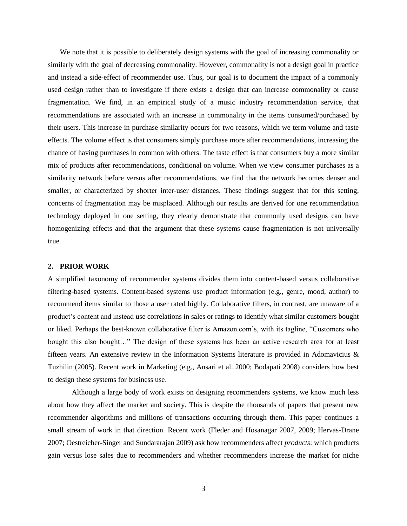We note that it is possible to deliberately design systems with the goal of increasing commonality or similarly with the goal of decreasing commonality. However, commonality is not a design goal in practice and instead a side-effect of recommender use. Thus, our goal is to document the impact of a commonly used design rather than to investigate if there exists a design that can increase commonality or cause fragmentation. We find, in an empirical study of a music industry recommendation service, that recommendations are associated with an increase in commonality in the items consumed/purchased by their users. This increase in purchase similarity occurs for two reasons, which we term volume and taste effects. The volume effect is that consumers simply purchase more after recommendations, increasing the chance of having purchases in common with others. The taste effect is that consumers buy a more similar mix of products after recommendations, conditional on volume. When we view consumer purchases as a similarity network before versus after recommendations, we find that the network becomes denser and smaller, or characterized by shorter inter-user distances. These findings suggest that for this setting, concerns of fragmentation may be misplaced. Although our results are derived for one recommendation technology deployed in one setting, they clearly demonstrate that commonly used designs can have homogenizing effects and that the argument that these systems cause fragmentation is not universally true.

#### **2. PRIOR WORK**

A simplified taxonomy of recommender systems divides them into content-based versus collaborative filtering-based systems. Content-based systems use product information (e.g., genre, mood, author) to recommend items similar to those a user rated highly. Collaborative filters, in contrast, are unaware of a product's content and instead use correlations in sales or ratings to identify what similar customers bought or liked. Perhaps the best-known collaborative filter is Amazon.com's, with its tagline, "Customers who bought this also bought…" The design of these systems has been an active research area for at least fifteen years. An extensive review in the Information Systems literature is provided in Adomavicius & Tuzhilin (2005). Recent work in Marketing (e.g., Ansari et al. 2000; Bodapati 2008) considers how best to design these systems for business use.

Although a large body of work exists on designing recommenders systems, we know much less about how they affect the market and society. This is despite the thousands of papers that present new recommender algorithms and millions of transactions occurring through them. This paper continues a small stream of work in that direction. Recent work (Fleder and Hosanagar 2007, 2009; Hervas-Drane 2007; Oestreicher-Singer and Sundararajan 2009) ask how recommenders affect *products*: which products gain versus lose sales due to recommenders and whether recommenders increase the market for niche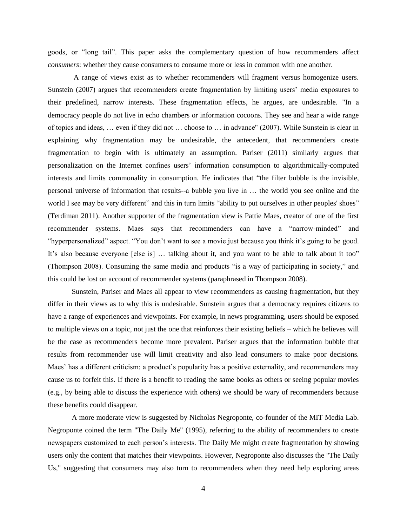goods, or "long tail". This paper asks the complementary question of how recommenders affect *consumers*: whether they cause consumers to consume more or less in common with one another.

A range of views exist as to whether recommenders will fragment versus homogenize users. Sunstein (2007) argues that recommenders create fragmentation by limiting users' media exposures to their predefined, narrow interests. These fragmentation effects, he argues, are undesirable. "In a democracy people do not live in echo chambers or information cocoons. They see and hear a wide range of topics and ideas, … even if they did not … choose to … in advance" (2007). While Sunstein is clear in explaining why fragmentation may be undesirable, the antecedent, that recommenders create fragmentation to begin with is ultimately an assumption. Pariser (2011) similarly argues that personalization on the Internet confines users' information consumption to algorithmically-computed interests and limits commonality in consumption. He indicates that "the filter bubble is the invisible, personal universe of information that results--a bubble you live in … the world you see online and the world I see may be very different" and this in turn limits "ability to put ourselves in other peoples' shoes" (Terdiman 2011). Another supporter of the fragmentation view is Pattie Maes, creator of one of the first recommender systems. Maes says that recommenders can have a "narrow-minded" and "hyperpersonalized" aspect. "You don't want to see a movie just because you think it's going to be good. It's also because everyone [else is] … talking about it, and you want to be able to talk about it too" (Thompson 2008). Consuming the same media and products "is a way of participating in society," and this could be lost on account of recommender systems (paraphrased in Thompson 2008).

Sunstein, Pariser and Maes all appear to view recommenders as causing fragmentation, but they differ in their views as to why this is undesirable. Sunstein argues that a democracy requires citizens to have a range of experiences and viewpoints. For example, in news programming, users should be exposed to multiple views on a topic, not just the one that reinforces their existing beliefs – which he believes will be the case as recommenders become more prevalent. Pariser argues that the information bubble that results from recommender use will limit creativity and also lead consumers to make poor decisions. Maes' has a different criticism: a product's popularity has a positive externality, and recommenders may cause us to forfeit this. If there is a benefit to reading the same books as others or seeing popular movies (e.g., by being able to discuss the experience with others) we should be wary of recommenders because these benefits could disappear.

A more moderate view is suggested by Nicholas Negroponte, co-founder of the MIT Media Lab. Negroponte coined the term "The Daily Me" (1995), referring to the ability of recommenders to create newspapers customized to each person's interests. The Daily Me might create fragmentation by showing users only the content that matches their viewpoints. However, Negroponte also discusses the "The Daily Us," suggesting that consumers may also turn to recommenders when they need help exploring areas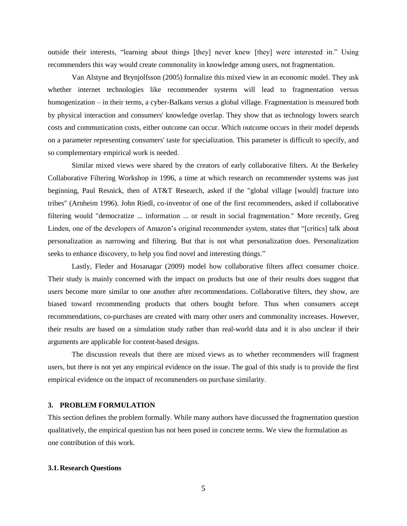outside their interests, "learning about things [they] never knew [they] were interested in." Using recommenders this way would create commonality in knowledge among users, not fragmentation.

Van Alstyne and Brynjolfsson (2005) formalize this mixed view in an economic model. They ask whether internet technologies like recommender systems will lead to fragmentation versus homogenization – in their terms, a cyber-Balkans versus a global village. Fragmentation is measured both by physical interaction and consumers' knowledge overlap. They show that as technology lowers search costs and communication costs, either outcome can occur. Which outcome occurs in their model depends on a parameter representing consumers' taste for specialization. This parameter is difficult to specify, and so complementary empirical work is needed.

Similar mixed views were shared by the creators of early collaborative filters. At the Berkeley Collaborative Filtering Workshop in 1996, a time at which research on recommender systems was just beginning, Paul Resnick, then of AT&T Research, asked if the "global village [would] fracture into tribes" (Arnheim 1996). John Riedl, co-inventor of one of the first recommenders, asked if collaborative filtering would "democratize ... information ... or result in social fragmentation." More recently, Greg Linden, one of the developers of Amazon's original recommender system, states that "[critics] talk about personalization as narrowing and filtering. But that is not what personalization does. Personalization seeks to enhance discovery, to help you find novel and interesting things."

Lastly, Fleder and Hosanagar (2009) model how collaborative filters affect consumer choice. Their study is mainly concerned with the impact on products but one of their results does suggest that users become more similar to one another after recommendations. Collaborative filters, they show, are biased toward recommending products that others bought before. Thus when consumers accept recommendations, co-purchases are created with many other users and commonality increases. However, their results are based on a simulation study rather than real-world data and it is also unclear if their arguments are applicable for content-based designs.

 The discussion reveals that there are mixed views as to whether recommenders will fragment users, but there is not yet any empirical evidence on the issue. The goal of this study is to provide the first empirical evidence on the impact of recommenders on purchase similarity.

# **3. PROBLEM FORMULATION**

This section defines the problem formally. While many authors have discussed the fragmentation question qualitatively, the empirical question has not been posed in concrete terms. We view the formulation as one contribution of this work.

#### **3.1.Research Questions**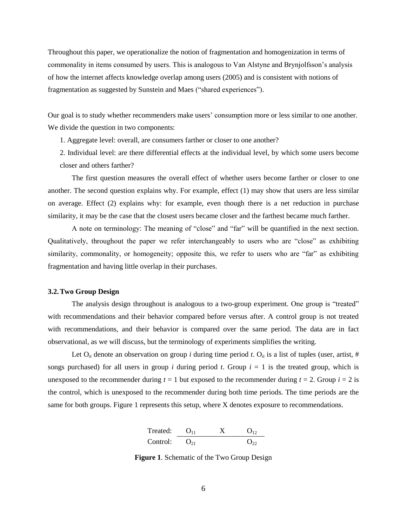Throughout this paper, we operationalize the notion of fragmentation and homogenization in terms of commonality in items consumed by users. This is analogous to Van Alstyne and Brynjolfsson's analysis of how the internet affects knowledge overlap among users (2005) and is consistent with notions of fragmentation as suggested by Sunstein and Maes ("shared experiences").

Our goal is to study whether recommenders make users' consumption more or less similar to one another. We divide the question in two components:

1. Aggregate level: overall, are consumers farther or closer to one another?

2. Individual level: are there differential effects at the individual level, by which some users become closer and others farther?

The first question measures the overall effect of whether users become farther or closer to one another. The second question explains why. For example, effect (1) may show that users are less similar on average. Effect (2) explains why: for example, even though there is a net reduction in purchase similarity, it may be the case that the closest users became closer and the farthest became much farther.

A note on terminology: The meaning of "close" and "far" will be quantified in the next section. Qualitatively, throughout the paper we refer interchangeably to users who are "close" as exhibiting similarity, commonality, or homogeneity; opposite this, we refer to users who are "far" as exhibiting fragmentation and having little overlap in their purchases.

#### **3.2.Two Group Design**

The analysis design throughout is analogous to a two-group experiment. One group is "treated" with recommendations and their behavior compared before versus after. A control group is not treated with recommendations, and their behavior is compared over the same period. The data are in fact observational, as we will discuss, but the terminology of experiments simplifies the writing.

Let  $O_i$  denote an observation on group *i* during time period *t*.  $O_i$  is a list of tuples (user, artist, # songs purchased) for all users in group *i* during period *t*. Group  $i = 1$  is the treated group, which is unexposed to the recommender during  $t = 1$  but exposed to the recommender during  $t = 2$ . Group  $i = 2$  is the control, which is unexposed to the recommender during both time periods. The time periods are the same for both groups. [Figure 1](#page-7-0) represents this setup, where X denotes exposure to recommendations.

| Treated: | $O_{11}$ | $X$      | $O_{12}$ |
|----------|----------|----------|----------|
| Control: | $O_{21}$ | $O_{22}$ |          |

<span id="page-7-0"></span>**Figure 1**. Schematic of the Two Group Design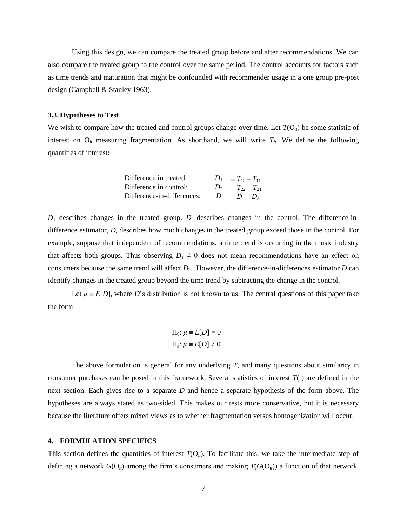Using this design, we can compare the treated group before and after recommendations. We can also compare the treated group to the control over the same period. The control accounts for factors such as time trends and maturation that might be confounded with recommender usage in a one group pre-post design (Campbell & Stanley 1963).

#### **3.3.Hypotheses to Test**

We wish to compare how the treated and control groups change over time. Let  $T(O_i)$  be some statistic of interest on  $O_i$  measuring fragmentation. As shorthand, we will write  $T_i$ . We define the following quantities of interest:

| Difference in treated:     | $D_1 = T_{12} - T_{11}$ |
|----------------------------|-------------------------|
| Difference in control:     | $D_2 = T_{22} - T_{21}$ |
| Difference-in-differences: | $D \equiv D_1 - D_2$    |

 $D_1$  describes changes in the treated group.  $D_2$  describes changes in the control. The difference-indifference estimator, *D*, describes how much changes in the treated group exceed those in the control. For example, suppose that independent of recommendations, a time trend is occurring in the music industry that affects both groups. Thus observing  $D_1 \neq 0$  does not mean recommendations have an effect on consumers because the same trend will affect  $D_2$ . However, the difference-in-differences estimator  $D$  can identify changes in the treated group beyond the time trend by subtracting the change in the control.

Let  $\mu = E[D]$ , where *D*'s distribution is not known to us. The central questions of this paper take the form

$$
H_0: \mu \equiv E[D] = 0
$$
  

$$
H_a: \mu \equiv E[D] \neq 0
$$

The above formulation is general for any underlying *T*, and many questions about similarity in consumer purchases can be posed in this framework. Several statistics of interest *T*( ) are defined in the next section. Each gives rise to a separate *D* and hence a separate hypothesis of the form above. The hypotheses are always stated as two-sided. This makes our tests more conservative, but it is necessary because the literature offers mixed views as to whether fragmentation versus homogenization will occur.

#### **4. FORMULATION SPECIFICS**

This section defines the quantities of interest  $T(O_i)$ . To facilitate this, we take the intermediate step of defining a network  $G(O_{ii})$  among the firm's consumers and making  $T(G(O_{ii}))$  a function of that network.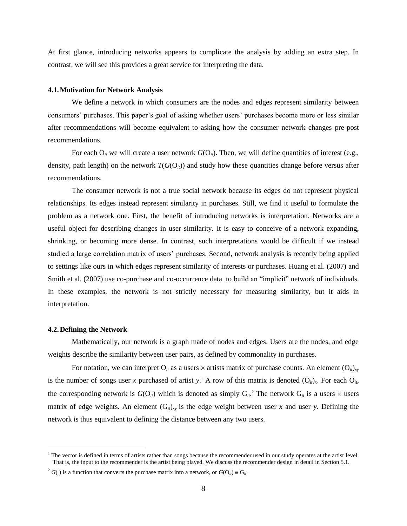At first glance, introducing networks appears to complicate the analysis by adding an extra step. In contrast, we will see this provides a great service for interpreting the data.

#### **4.1.Motivation for Network Analysis**

We define a network in which consumers are the nodes and edges represent similarity between consumers' purchases. This paper's goal of asking whether users' purchases become more or less similar after recommendations will become equivalent to asking how the consumer network changes pre-post recommendations.

For each  $O_i$  we will create a user network  $G(O_i)$ . Then, we will define quantities of interest (e.g., density, path length) on the network  $T(G(O_{ii}))$  and study how these quantities change before versus after recommendations.

The consumer network is not a true social network because its edges do not represent physical relationships. Its edges instead represent similarity in purchases. Still, we find it useful to formulate the problem as a network one. First, the benefit of introducing networks is interpretation. Networks are a useful object for describing changes in user similarity. It is easy to conceive of a network expanding, shrinking, or becoming more dense. In contrast, such interpretations would be difficult if we instead studied a large correlation matrix of users' purchases. Second, network analysis is recently being applied to settings like ours in which edges represent similarity of interests or purchases. Huang et al. (2007) and Smith et al. (2007) use co-purchase and co-occurrence data to build an "implicit" network of individuals. In these examples, the network is not strictly necessary for measuring similarity, but it aids in interpretation.

#### **4.2.Defining the Network**

 $\overline{a}$ 

Mathematically, our network is a graph made of nodes and edges. Users are the nodes, and edge weights describe the similarity between user pairs, as defined by commonality in purchases.

For notation, we can interpret  $O_{it}$  as a users  $\times$  artists matrix of purchase counts. An element  $(O_{it})_{xy}$ is the number of songs user *x* purchased of artist *y*.<sup>1</sup> A row of this matrix is denoted  $(O_{ii})_x$ . For each  $O_{ii}$ , the corresponding network is  $G(O_{it})$  which is denoted as simply  $G_{it}$ <sup>2</sup>. The network  $G_{it}$  is a users  $\times$  users matrix of edge weights. An element  $(G_i)_{xy}$  is the edge weight between user *x* and user *y*. Defining the network is thus equivalent to defining the distance between any two users.

 $<sup>1</sup>$  The vector is defined in terms of artists rather than songs because the recommender used in our study operates at the artist level.</sup> That is, the input to the recommender is the artist being played. We discuss the recommender design in detail in Section 5.1.

 $^{2}$  *G*( ) is a function that converts the purchase matrix into a network, or  $G(O_{ii}) = G_{ii}$ .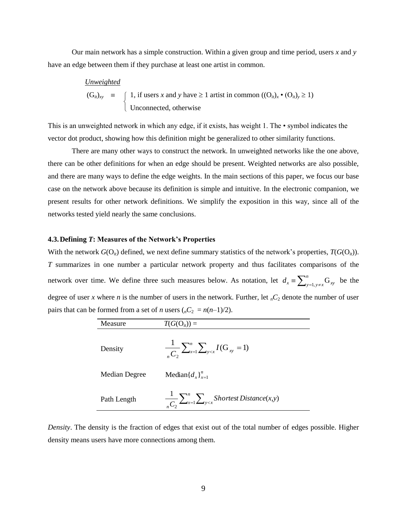Our main network has a simple construction. Within a given group and time period, users *x* and *y* have an edge between them if they purchase at least one artist in common.

| Unweighted             |                                                                                                     |
|------------------------|-----------------------------------------------------------------------------------------------------|
| $(G_{it})_{xy}$ ≡      | { 1, if users <i>x</i> and <i>y</i> have ≥ 1 artist in common $((O_{it})_x \cdot (O_{it})_y \ge 1)$ |
| Unconnected, otherwise |                                                                                                     |

This is an unweighted network in which any edge, if it exists, has weight 1. The • symbol indicates the vector dot product, showing how this definition might be generalized to other similarity functions.

There are many other ways to construct the network. In unweighted networks like the one above, there can be other definitions for when an edge should be present. Weighted networks are also possible, and there are many ways to define the edge weights. In the main sections of this paper, we focus our base case on the network above because its definition is simple and intuitive. In the electronic companion, we present results for other network definitions. We simplify the exposition in this way, since all of the networks tested yield nearly the same conclusions.

#### **4.3.Defining** *T***: Measures of the Network's Properties**

With the network  $G(O_{ii})$  defined, we next define summary statistics of the network's properties,  $T(G(O_{ii}))$ . *T* summarizes in one number a particular network property and thus facilitates comparisons of the network over time. We define three such measures below. As notation, let  $d_x = \sum_{y=1, y \neq 0}^{n}$  $d_x \equiv \sum_{y=1, y \neq x}^{n} G_{xy}$  be the degree of user *x* where *n* is the number of users in the network. Further, let  $nC_2$  denote the number of user pairs that can be formed from a set of *n* users  $(nC_2 = n(n-1)/2)$ .

| Measure       | $T(G(O_{it})) =$                                                 |
|---------------|------------------------------------------------------------------|
| Density       | $\frac{1}{C_2}\sum_{x=1}^n\sum_{y\leq x}I(G_{xy}=1)$             |
| Median Degree | Median $\{d_{x}\}_{x=1}^{n}$                                     |
| Path Length   | $\frac{1}{C_2}\sum_{x=1}^n\sum_{y\leq x}Shortest Distance(x, y)$ |

*Density*. The density is the fraction of edges that exist out of the total number of edges possible. Higher density means users have more connections among them.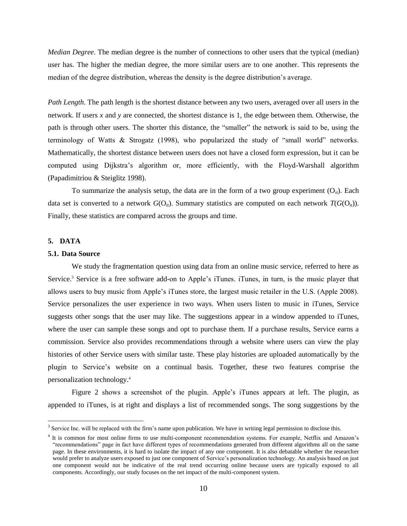*Median Degree*. The median degree is the number of connections to other users that the typical (median) user has. The higher the median degree, the more similar users are to one another. This represents the median of the degree distribution, whereas the density is the degree distribution's average.

*Path Length*. The path length is the shortest distance between any two users, averaged over all users in the network. If users *x* and *y* are connected, the shortest distance is 1, the edge between them. Otherwise, the path is through other users. The shorter this distance, the "smaller" the network is said to be, using the terminology of Watts & Strogatz (1998), who popularized the study of "small world" networks. Mathematically, the shortest distance between users does not have a closed form expression, but it can be computed using Dijkstra's algorithm or, more efficiently, with the Floyd-Warshall algorithm (Papadimitriou & Steiglitz 1998).

To summarize the analysis setup, the data are in the form of a two group experiment  $(O_{ii})$ . Each data set is converted to a network  $G(O_i)$ . Summary statistics are computed on each network  $T(G(O_i))$ . Finally, these statistics are compared across the groups and time.

# **5. DATA**

 $\overline{a}$ 

# **5.1. Data Source**

We study the fragmentation question using data from an online music service, referred to here as Service.<sup>3</sup> Service is a free software add-on to Apple's iTunes. iTunes, in turn, is the music player that allows users to buy music from Apple's iTunes store, the largest music retailer in the U.S. (Apple 2008). Service personalizes the user experience in two ways. When users listen to music in iTunes, Service suggests other songs that the user may like. The suggestions appear in a window appended to iTunes, where the user can sample these songs and opt to purchase them. If a purchase results, Service earns a commission. Service also provides recommendations through a website where users can view the play histories of other Service users with similar taste. These play histories are uploaded automatically by the plugin to Service's website on a continual basis. Together, these two features comprise the personalization technology.<sup>4</sup>

[Figure 2](#page-12-0) shows a screenshot of the plugin. Apple's iTunes appears at left. The plugin, as appended to iTunes, is at right and displays a list of recommended songs. The song suggestions by the

 $3$  Service Inc. will be replaced with the firm's name upon publication. We have in writing legal permission to disclose this.

<sup>&</sup>lt;sup>4</sup> It is common for most online firms to use multi-component recommendation systems. For example, Netflix and Amazon's "recommendations" page in fact have different types of recommendations generated from different algorithms all on the same page. In these environments, it is hard to isolate the impact of any one component. It is also debatable whether the researcher would prefer to analyze users exposed to just one component of Service's personalization technology. An analysis based on just one component would not be indicative of the real trend occurring online because users are typically exposed to all components. Accordingly, our study focuses on the net impact of the multi-component system.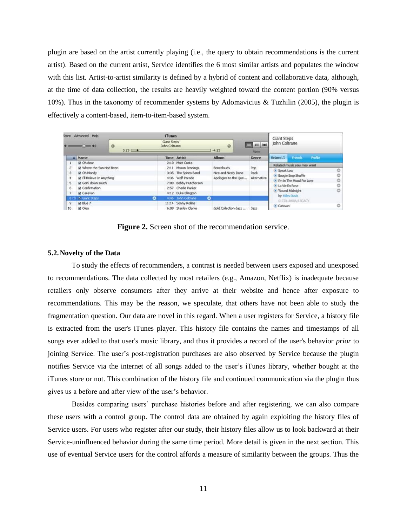plugin are based on the artist currently playing (i.e., the query to obtain recommendations is the current artist). Based on the current artist, Service identifies the 6 most similar artists and populates the window with this list. Artist-to-artist similarity is defined by a hybrid of content and collaborative data, although, at the time of data collection, the results are heavily weighted toward the content portion (90% versus 10%). Thus in the taxonomy of recommender systems by Adomavicius & Tuzhilin (2005), the plugin is effectively a content-based, item-to-item-based system.

| <b>Dore</b>          | Advanced Help                |                 |   | <b>iTunes</b>                |                       |           |                      |                     | <b>Giant Steps</b> |                            |         |   |
|----------------------|------------------------------|-----------------|---|------------------------------|-----------------------|-----------|----------------------|---------------------|--------------------|----------------------------|---------|---|
|                      | $-44$                        | $\circ$<br>0:23 |   | Giant Steps<br>John Coltrane |                       |           | $\circ$<br>$-4:23$   | 1,203, 1001<br>View | John Coltrane      |                            |         |   |
|                      | A Name                       |                 |   |                              | <b>Time Artist</b>    |           | <b>Album</b>         | Genre               | Rekited            | <b>Friends</b>             | Profile |   |
|                      | 望 Oh dear                    |                 |   |                              | 2:10 Matt Costa       |           |                      |                     |                    | Related music you may want |         |   |
| $\mathbf{z}$         | iiil Where the Sun Had Been  |                 |   |                              | 2:11 Mason Jennings   |           | <b>Boneclouds</b>    | Pop                 |                    |                            |         |   |
| 3                    | iii Oh Mandy                 |                 |   |                              | 3:35 The Spinto Band  |           | Nice and Nicely Done | Rock-               | Speak Low          |                            | ö       |   |
| $\ddot{\phantom{a}}$ | iii I'll Believe In Anything |                 |   |                              | 4:36 Wolf Parade      |           | Apologies to the Que | Alternative         |                    | Boogie Stop Shuffle        |         | O |
| s                    | il Goin' down south          |                 |   |                              | 7:09 Bobby Hutcherson |           |                      |                     |                    | I'm In The Mood For Love   |         | ö |
| 6                    | <b>El</b> Confirmation       |                 |   |                              | 2:57 Charlie Parker   |           |                      |                     | La Vie En Rose     |                            |         | o |
|                      |                              |                 |   |                              |                       |           |                      |                     |                    | Round Midnight             |         | ö |
| $\overline{7}$       | <b>E</b> Caravan             |                 |   |                              | 4:12 Duke Elington    |           |                      |                     |                    | by Miles Davis             |         |   |
|                      | 5 Gant Steps                 |                 | ۰ |                              | 4:46 John Cokrane     | $\bullet$ |                      |                     |                    | © COLLMBA/LEGACY           |         |   |
| 9                    | <b>Ed Blue 7</b>             |                 |   |                              | 11:14 Sonny Rollins   |           |                      |                     | Caravan            |                            |         | O |
| 10                   | <b>El</b> Oleo               |                 |   |                              | 6:09 Stanley Clarke   |           | Gold Collection-Jazz | 3822                |                    |                            |         |   |

Figure 2. Screen shot of the recommendation service.

#### <span id="page-12-0"></span>**5.2.Novelty of the Data**

To study the effects of recommenders, a contrast is needed between users exposed and unexposed to recommendations. The data collected by most retailers (e.g., Amazon, Netflix) is inadequate because retailers only observe consumers after they arrive at their website and hence after exposure to recommendations. This may be the reason, we speculate, that others have not been able to study the fragmentation question. Our data are novel in this regard. When a user registers for Service, a history file is extracted from the user's iTunes player. This history file contains the names and timestamps of all songs ever added to that user's music library, and thus it provides a record of the user's behavior *prior* to joining Service. The user's post-registration purchases are also observed by Service because the plugin notifies Service via the internet of all songs added to the user's iTunes library, whether bought at the iTunes store or not. This combination of the history file and continued communication via the plugin thus gives us a before and after view of the user's behavior.

Besides comparing users' purchase histories before and after registering, we can also compare these users with a control group. The control data are obtained by again exploiting the history files of Service users. For users who register after our study, their history files allow us to look backward at their Service-uninfluenced behavior during the same time period. More detail is given in the next section. This use of eventual Service users for the control affords a measure of similarity between the groups. Thus the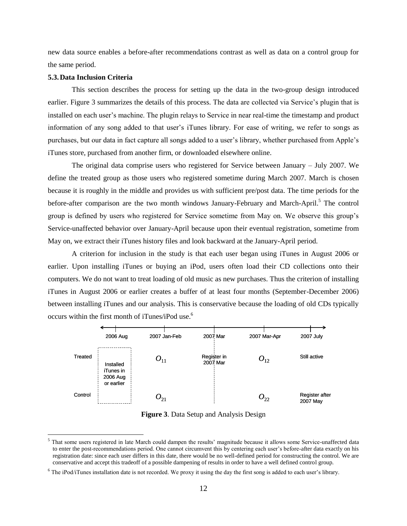new data source enables a before-after recommendations contrast as well as data on a control group for the same period.

#### **5.3.Data Inclusion Criteria**

<span id="page-13-0"></span> $\overline{a}$ 

This section describes the process for setting up the data in the two-group design introduced earlier. [Figure 3](#page-13-0) summarizes the details of this process. The data are collected via Service's plugin that is installed on each user's machine. The plugin relays to Service in near real-time the timestamp and product information of any song added to that user's iTunes library. For ease of writing, we refer to songs as purchases, but our data in fact capture all songs added to a user's library, whether purchased from Apple's iTunes store, purchased from another firm, or downloaded elsewhere online.

The original data comprise users who registered for Service between January – July 2007. We define the treated group as those users who registered sometime during March 2007. March is chosen because it is roughly in the middle and provides us with sufficient pre/post data. The time periods for the before-after comparison are the two month windows January-February and March-April.<sup>5</sup> The control group is defined by users who registered for Service sometime from May on. We observe this group's Service-unaffected behavior over January-April because upon their eventual registration, sometime from May on, we extract their iTunes history files and look backward at the January-April period.

A criterion for inclusion in the study is that each user began using iTunes in August 2006 or earlier. Upon installing iTunes or buying an iPod, users often load their CD collections onto their computers. We do not want to treat loading of old music as new purchases. Thus the criterion of installing iTunes in August 2006 or earlier creates a buffer of at least four months (September-December 2006) between installing iTunes and our analysis. This is conservative because the loading of old CDs typically occurs within the first month of iTunes/iPod use.<sup>6</sup>



**Figure 3**. Data Setup and Analysis Design

<sup>&</sup>lt;sup>5</sup> That some users registered in late March could dampen the results' magnitude because it allows some Service-unaffected data to enter the post-recommendations period. One cannot circumvent this by centering each user's before-after data exactly on his registration date: since each user differs in this date, there would be no well-defined period for constructing the control. We are conservative and accept this tradeoff of a possible dampening of results in order to have a well defined control group.

 $6$  The iPod/iTunes installation date is not recorded. We proxy it using the day the first song is added to each user's library.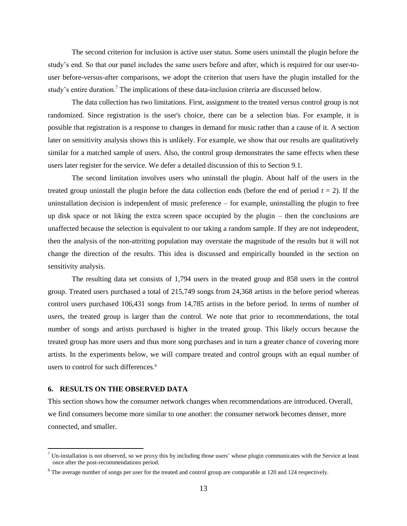The second criterion for inclusion is active user status. Some users uninstall the plugin before the study's end. So that our panel includes the same users before and after, which is required for our user-touser before-versus-after comparisons, we adopt the criterion that users have the plugin installed for the study's entire duration.<sup>7</sup> The implications of these data-inclusion criteria are discussed below.

The data collection has two limitations. First, assignment to the treated versus control group is not randomized. Since registration is the user's choice, there can be a selection bias. For example, it is possible that registration is a response to changes in demand for music rather than a cause of it. A section later on sensitivity analysis shows this is unlikely. For example, we show that our results are qualitatively similar for a matched sample of users. Also, the control group demonstrates the same effects when these users later register for the service. We defer a detailed discussion of this to Section 9.1.

The second limitation involves users who uninstall the plugin. About half of the users in the treated group uninstall the plugin before the data collection ends (before the end of period  $t = 2$ ). If the uninstallation decision is independent of music preference – for example, uninstalling the plugin to free up disk space or not liking the extra screen space occupied by the plugin – then the conclusions are unaffected because the selection is equivalent to our taking a random sample. If they are not independent, then the analysis of the non-attriting population may overstate the magnitude of the results but it will not change the direction of the results. This idea is discussed and empirically bounded in the section on sensitivity analysis.

The resulting data set consists of 1,794 users in the treated group and 858 users in the control group. Treated users purchased a total of 215,749 songs from 24,368 artists in the before period whereas control users purchased 106,431 songs from 14,785 artists in the before period. In terms of number of users, the treated group is larger than the control. We note that prior to recommendations, the total number of songs and artists purchased is higher in the treated group. This likely occurs because the treated group has more users and thus more song purchases and in turn a greater chance of covering more artists. In the experiments below, we will compare treated and control groups with an equal number of users to control for such differences.<sup>8</sup>

#### **6. RESULTS ON THE OBSERVED DATA**

 $\overline{a}$ 

This section shows how the consumer network changes when recommendations are introduced. Overall, we find consumers become more similar to one another: the consumer network becomes denser, more connected, and smaller.

 $<sup>7</sup>$  Un-installation is not observed, so we proxy this by including those users' whose plugin communicates with the Service at least</sup> once after the post-recommendations period.

 $8$  The average number of songs per user for the treated and control group are comparable at 120 and 124 respectively.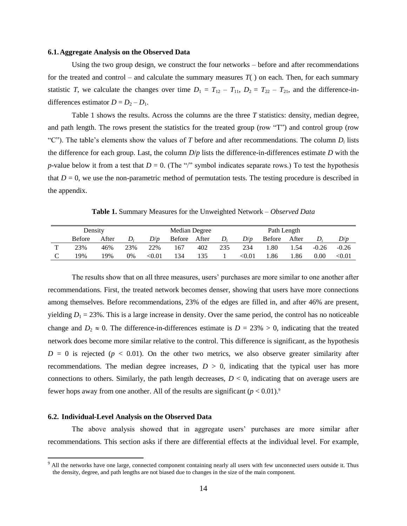#### **6.1.Aggregate Analysis on the Observed Data**

Using the two group design, we construct the four networks – before and after recommendations for the treated and control – and calculate the summary measures  $T()$  on each. Then, for each summary statistic *T*, we calculate the changes over time  $D_1 = T_{12} - T_{11}$ ,  $D_2 = T_{22} - T_{21}$ , and the difference-indifferencesestimator  $D = D_2 - D_1$ .

[Table 1](#page-15-0) shows the results. Across the columns are the three *T* statistics: density, median degree, and path length. The rows present the statistics for the treated group (row "T") and control group (row "C"). The table's elements show the values of *T* before and after recommendations. The column  $D_i$  lists the difference for each group. Last, the column *D*/*p* lists the difference-in-differences estimate *D* with the *p*-value below it from a test that  $D = 0$ . (The "/" symbol indicates separate rows.) To test the hypothesis that  $D = 0$ , we use the non-parametric method of permutation tests. The testing procedure is described in the appendix.

**Table 1.** Summary Measures for the Unweighted Network – *Observed Data*

<span id="page-15-0"></span>

|              | Density       |       |     |        | Median Degree<br>Path Length |       |             |          |               |       |         |               |
|--------------|---------------|-------|-----|--------|------------------------------|-------|-------------|----------|---------------|-------|---------|---------------|
|              | <b>Before</b> | After | D:  | D/p    | Before                       | After | $D_{\rm s}$ | D/p      | <b>Before</b> | After |         | D/p           |
| $\mathbf{r}$ | 23%           | 46%   | 23% | 22%    | 167                          | 402   | 235         | 234      | .80           | .54   | $-0.26$ | $-0.26$       |
| C            | 19%           | 19%   | 0%  | < 0.01 | 134                          | 135   |             | $<$ 0.01 | .86           | . 86  | 0.00    | $< \!\! 0.01$ |

The results show that on all three measures, users' purchases are more similar to one another after recommendations. First, the treated network becomes denser, showing that users have more connections among themselves. Before recommendations, 23% of the edges are filled in, and after 46% are present, yielding  $D_1 = 23\%$ . This is a large increase in density. Over the same period, the control has no noticeable change and  $D_2 \approx 0$ . The difference-in-differences estimate is  $D = 23\% > 0$ , indicating that the treated network does become more similar relative to the control. This difference is significant, as the hypothesis  $D = 0$  is rejected ( $p < 0.01$ ). On the other two metrics, we also observe greater similarity after recommendations. The median degree increases,  $D > 0$ , indicating that the typical user has more connections to others. Similarly, the path length decreases,  $D < 0$ , indicating that on average users are fewer hops away from one another. All of the results are significant  $(p < 0.01)^9$ 

#### **6.2. Individual-Level Analysis on the Observed Data**

 $\overline{a}$ 

The above analysis showed that in aggregate users' purchases are more similar after recommendations. This section asks if there are differential effects at the individual level. For example,

 $9$  All the networks have one large, connected component containing nearly all users with few unconnected users outside it. Thus the density, degree, and path lengths are not biased due to changes in the size of the main component.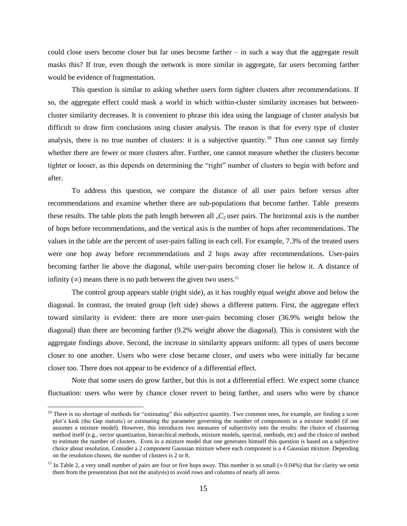could close users become closer but far ones become farther – in such a way that the aggregate result masks this? If true, even though the network is more similar in aggregate, far users becoming farther would be evidence of fragmentation.

This question is similar to asking whether users form tighter clusters after recommendations. If so, the aggregate effect could mask a world in which within-cluster similarity increases but betweencluster similarity decreases. It is convenient to phrase this idea using the language of cluster analysis but difficult to draw firm conclusions using cluster analysis. The reason is that for every type of cluster analysis, there is no true number of clusters: it is a subjective quantity.<sup>10</sup> Thus one cannot say firmly whether there are fewer or more clusters after. Further, one cannot measure whether the clusters become tighter or looser, as this depends on determining the "right" number of clusters to begin with before and after.

To address this question, we compare the distance of all user pairs before versus after recommendations and examine whether there are sub-populations that become farther. [Table](#page-17-0) presents these results. The table plots the path length between all  $nC_2$  user pairs. The horizontal axis is the number of hops before recommendations, and the vertical axis is the number of hops after recommendations. The values in the table are the percent of user-pairs falling in each cell. For example, 7.3% of the treated users were one hop away before recommendations and 2 hops away after recommendations. User-pairs becoming farther lie above the diagonal, while user-pairs becoming closer lie below it. A distance of infinity ( $\infty$ ) means there is no path between the given two users.<sup>11</sup>

The control group appears stable (right side), as it has roughly equal weight above and below the diagonal. In contrast, the treated group (left side) shows a different pattern. First, the aggregate effect toward similarity is evident: there are more user-pairs becoming closer (36.9% weight below the diagonal) than there are becoming farther (9.2% weight above the diagonal). This is consistent with the aggregate findings above. Second, the increase in similarity appears uniform: all types of users become closer to one another. Users who were close became closer, *and* users who were initially far became closer too. There does not appear to be evidence of a differential effect.

Note that some users do grow farther, but this is not a differential effect. We expect some chance fluctuation: users who were by chance closer revert to being farther, and users who were by chance

 $\overline{a}$ 

<sup>&</sup>lt;sup>10</sup> There is no shortage of methods for "estimating" this subjective quantity. Two common ones, for example, are finding a scree plot's kink (the Gap statistic) or estimating the parameter governing the number of components in a mixture model (if one assumes a mixture model). However, this introduces two measures of subjectivity into the results: the choice of clustering method itself (e.g., vector quantization, hierarchical methods, mixture models, spectral, methods, etc) and the choice of method to estimate the number of clusters. Even in a mixture model that one generates himself this question is based on a subjective choice about resolution. Consider a 2 component Gaussian mixture where each component is a 4 Gaussian mixture. Depending on the resolution chosen, the number of clusters is 2 or 8.

<sup>&</sup>lt;sup>11</sup> In [Table 2](#page-17-0), a very small number of pairs are four or five hops away. This number is so small ( $\approx 0.04\%$ ) that for clarity we omit them from the presentation (but not the analysis) to avoid rows and columns of nearly all zeros.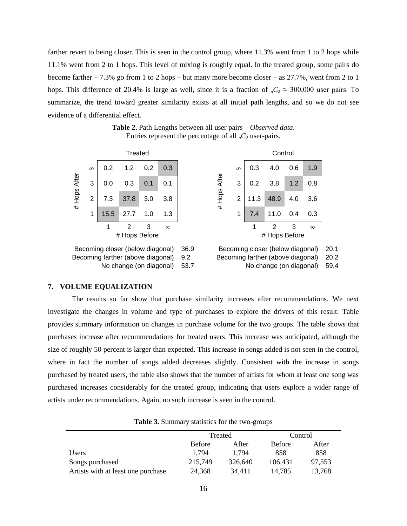farther revert to being closer. This is seen in the control group, where 11.3% went from 1 to 2 hops while 11.1% went from 2 to 1 hops. This level of mixing is roughly equal. In the treated group, some pairs do become farther – 7.3% go from 1 to 2 hops – but many more become closer – as 27.7%, went from 2 to 1 hops. This difference of 20.4% is large as well, since it is a fraction of  $nC_2 \approx 300,000$  user pairs. To summarize, the trend toward greater similarity exists at all initial path lengths, and so we do not see evidence of a differential effect.

**Table 2.** Path Lengths between all user pairs – *Observed data*. Entries represent the percentage of all  $<sub>n</sub>C<sub>2</sub>$  user-pairs.</sub>

<span id="page-17-0"></span>

|            |          |                                                                       | Treated       |     |          |             | Control |          |      |                                                                       |     |          |              |
|------------|----------|-----------------------------------------------------------------------|---------------|-----|----------|-------------|---------|----------|------|-----------------------------------------------------------------------|-----|----------|--------------|
|            | $\infty$ | 0.2                                                                   | 1.2           | 0.2 | 0.3      |             |         | $\infty$ | 0.3  | 4.0                                                                   | 0.6 | 1.9      |              |
| Hops After | 3        | 0.0                                                                   | 0.3           | 0.1 | 0.1      |             | After   | 3        | 0.2  | 3.8                                                                   | 1.2 | 0.8      |              |
|            | 2        | 7.3                                                                   | 37.8          | 3.0 | 3.8      |             | Pops    | 2        | 11.3 | 48.9                                                                  | 4.0 | 3.6      |              |
| #          | 1        | 15.5                                                                  | 27.7          | 1.0 | 1.3      |             | #       |          | 7.4  | 11.0                                                                  | 0.4 | 0.3      |              |
|            |          | 1                                                                     | 2             | 3   | $\infty$ |             |         |          |      | 2                                                                     | 3   | $\infty$ |              |
|            |          |                                                                       | # Hops Before |     |          |             |         |          |      | # Hops Before                                                         |     |          |              |
|            |          | Becoming closer (below diagonal)<br>Becoming farther (above diagonal) |               |     |          | 36.9<br>9.2 |         |          |      | Becoming closer (below diagonal)<br>Becoming farther (above diagonal) |     |          | 20.1<br>20.2 |

No change (on diagonal) 53.7 No change (on diagonal) 59.4

# **7. VOLUME EQUALIZATION**

The results so far show that purchase similarity increases after recommendations. We next investigate the changes in volume and type of purchases to explore the drivers of this result. [Table](#page-17-1)  provides summary information on changes in purchase volume for the two groups. The table shows that purchases increase after recommendations for treated users. This increase was anticipated, although the size of roughly 50 percent is larger than expected. This increase in songs added is not seen in the control, where in fact the number of songs added decreases slightly. Consistent with the increase in songs purchased by treated users, the table also shows that the number of artists for whom at least one song was purchased increases considerably for the treated group, indicating that users explore a wider range of artists under recommendations. Again, no such increase is seen in the control.

<span id="page-17-1"></span>

|                                    |               | Treated |               | Control |
|------------------------------------|---------------|---------|---------------|---------|
|                                    | <b>Before</b> | After   | <b>Before</b> | After   |
| <b>Users</b>                       | 1.794         | 1.794   | 858           | 858     |
| Songs purchased                    | 215,749       | 326,640 | 106,431       | 97,553  |
| Artists with at least one purchase | 24,368        | 34,411  | 14,785        | 13,768  |

**Table 3.** Summary statistics for the two-groups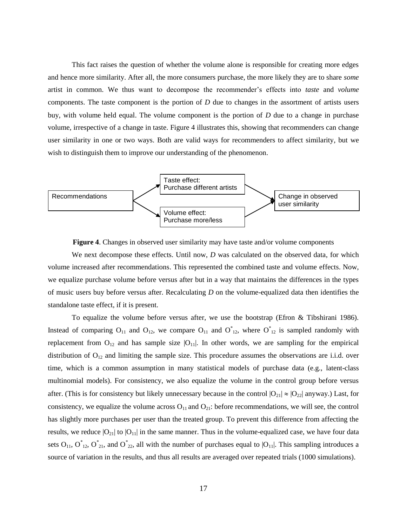This fact raises the question of whether the volume alone is responsible for creating more edges and hence more similarity. After all, the more consumers purchase, the more likely they are to share *some* artist in common. We thus want to decompose the recommender's effects into *taste* and *volume* components. The taste component is the portion of *D* due to changes in the assortment of artists users buy, with volume held equal. The volume component is the portion of *D* due to a change in purchase volume, irrespective of a change in taste. [Figure 4](#page-18-0) illustrates this, showing that recommenders can change user similarity in one or two ways. Both are valid ways for recommenders to affect similarity, but we wish to distinguish them to improve our understanding of the phenomenon.



**Figure 4**. Changes in observed user similarity may have taste and/or volume components

<span id="page-18-0"></span>We next decompose these effects. Until now, *D* was calculated on the observed data, for which volume increased after recommendations. This represented the combined taste and volume effects. Now, we equalize purchase volume before versus after but in a way that maintains the differences in the types of music users buy before versus after. Recalculating *D* on the volume-equalized data then identifies the standalone taste effect, if it is present.

To equalize the volume before versus after, we use the bootstrap (Efron & Tibshirani 1986). Instead of comparing  $O_{11}$  and  $O_{12}$ , we compare  $O_{11}$  and  $O^*_{12}$ , where  $O^*_{12}$  is sampled randomly with replacement from  $O_{12}$  and has sample size  $|O_{11}|$ . In other words, we are sampling for the empirical distribution of  $O_{12}$  and limiting the sample size. This procedure assumes the observations are i.i.d. over time, which is a common assumption in many statistical models of purchase data (e.g., latent-class multinomial models). For consistency, we also equalize the volume in the control group before versus after. (This is for consistency but likely unnecessary because in the control  $|O_{21}| \approx |O_{22}|$  anyway.) Last, for consistency, we equalize the volume across  $O_{11}$  and  $O_{21}$ : before recommendations, we will see, the control has slightly more purchases per user than the treated group. To prevent this difference from affecting the results, we reduce  $|O_{21}|$  to  $|O_{11}|$  in the same manner. Thus in the volume-equalized case, we have four data sets  $O_{11}$ ,  $O^*_{12}$ ,  $O^*_{21}$ , and  $O^*_{22}$ , all with the number of purchases equal to  $|O_{11}|$ . This sampling introduces a source of variation in the results, and thus all results are averaged over repeated trials (1000 simulations).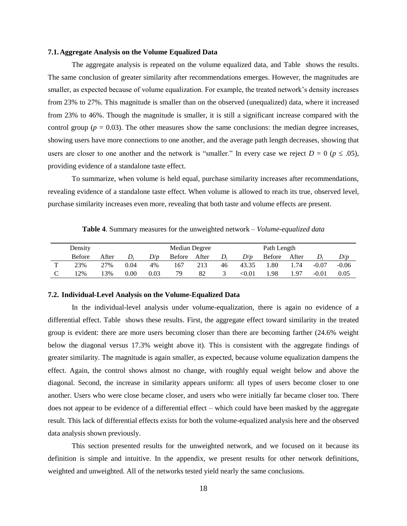#### **7.1.Aggregate Analysis on the Volume Equalized Data**

The aggregate analysis is repeated on the volume equalized data, and [Table](#page-19-0) shows the results. The same conclusion of greater similarity after recommendations emerges. However, the magnitudes are smaller, as expected because of volume equalization. For example, the treated network's density increases from 23% to 27%. This magnitude is smaller than on the observed (unequalized) data, where it increased from 23% to 46%. Though the magnitude is smaller, it is still a significant increase compared with the control group ( $p = 0.03$ ). The other measures show the same conclusions: the median degree increases, showing users have more connections to one another, and the average path length decreases, showing that users are closer to one another and the network is "smaller." In every case we reject  $D = 0$  ( $p \le .05$ ), providing evidence of a standalone taste effect.

To summarize, when volume is held equal, purchase similarity increases after recommendations, revealing evidence of a standalone taste effect. When volume is allowed to reach its true, observed level, purchase similarity increases even more, revealing that both taste and volume effects are present.

<span id="page-19-0"></span>

|   | Density       |       |      |      | Median Degree |       | Path Length |               |               |       |         |         |
|---|---------------|-------|------|------|---------------|-------|-------------|---------------|---------------|-------|---------|---------|
|   | <b>Before</b> | After | D,   | D/p  | <b>Before</b> | After | $D_i$       | D/p           | <b>Before</b> | After | $D_i$   | D/p     |
| m | 23%           | 27%   | 0.04 | 4%   | 167           | 213   | 46          | 43.35         | .80           | .74   | $-0.07$ | $-0.06$ |
|   | 2%            | 3%    | 0.00 | 0.03 | 79            | 82    |             | $< \!\! 0.01$ | . 98          | 1.97  | $-0.01$ | 0.05    |

**Table 4**. Summary measures for the unweighted network – *Volume-equalized data*

#### **7.2. Individual-Level Analysis on the Volume-Equalized Data**

In the individual-level analysis under volume-equalization, there is again no evidence of a differential effect. [Table](#page-20-0) shows these results. First, the aggregate effect toward similarity in the treated group is evident: there are more users becoming closer than there are becoming farther (24.6% weight below the diagonal versus 17.3% weight above it). This is consistent with the aggregate findings of greater similarity. The magnitude is again smaller, as expected, because volume equalization dampens the effect. Again, the control shows almost no change, with roughly equal weight below and above the diagonal. Second, the increase in similarity appears uniform: all types of users become closer to one another. Users who were close became closer, and users who were initially far became closer too. There does not appear to be evidence of a differential effect – which could have been masked by the aggregate result. This lack of differential effects exists for both the volume-equalized analysis here and the observed data analysis shown previously.

This section presented results for the unweighted network, and we focused on it because its definition is simple and intuitive. In the appendix, we present results for other network definitions, weighted and unweighted. All of the networks tested yield nearly the same conclusions.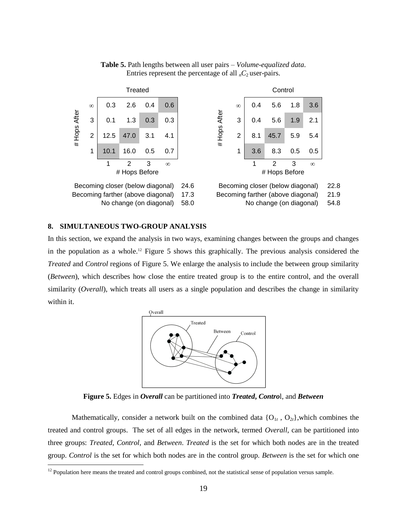<span id="page-20-0"></span>

**Table 5.** Path lengths between all user pairs – *Volume-equalized data*. Entries represent the percentage of all  $<sub>n</sub>C<sub>2</sub>$  user-pairs.</sub>

#### <span id="page-20-2"></span>**8. SIMULTANEOUS TWO-GROUP ANALYSIS**

 $\overline{a}$ 

In this section, we expand the analysis in two ways, examining changes between the groups and changes in the population as a whole.<sup>12</sup> [Figure 5](#page-20-1) shows this graphically. The previous analysis considered the *Treated* and *Control* regions of [Figure 5.](#page-20-1) We enlarge the analysis to include the between group similarity (*Between*), which describes how close the entire treated group is to the entire control, and the overall similarity (*Overall*), which treats all users as a single population and describes the change in similarity within it.



**Figure 5.** Edges in *Overall* can be partitioned into *Treated***,** *Contro*l, and *Between*

<span id="page-20-1"></span>Mathematically, consider a network built on the combined data  $\{O_{1t}, O_{2t}\}$ , which combines the treated and control groups. The set of all edges in the network, termed *Overall*, can be partitioned into three groups: *Treated*, *Control*, and *Between*. *Treated* is the set for which both nodes are in the treated group. *Control* is the set for which both nodes are in the control group. *Between* is the set for which one

 $12$  Population here means the treated and control groups combined, not the statistical sense of population versus sample.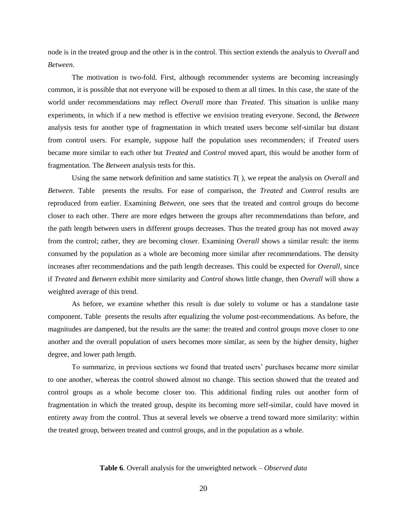node is in the treated group and the other is in the control. This section extends the analysis to *Overall* and *Between*.

The motivation is two-fold. First, although recommender systems are becoming increasingly common, it is possible that not everyone will be exposed to them at all times. In this case, the state of the world under recommendations may reflect *Overall* more than *Treated*. This situation is unlike many experiments, in which if a new method is effective we envision treating everyone. Second, the *Between* analysis tests for another type of fragmentation in which treated users become self-similar but distant from control users. For example, suppose half the population uses recommenders; if *Treated* users became more similar to each other but *Treated* and *Control* moved apart, this would be another form of fragmentation. The *Between* analysis tests for this.

Using the same network definition and same statistics *T*( ), we repeat the analysis on *Overall* and *Between*. [Table](#page-21-0) presents the results. For ease of comparison, the *Treated* and *Control* results are reproduced from earlier. Examining *Between*, one sees that the treated and control groups do become closer to each other. There are more edges between the groups after recommendations than before, and the path length between users in different groups decreases. Thus the treated group has not moved away from the control; rather, they are becoming closer. Examining *Overall* shows a similar result: the items consumed by the population as a whole are becoming more similar after recommendations. The density increases after recommendations and the path length decreases. This could be expected for *Overall*, since if *Treated* and *Between* exhibit more similarity and *Control* shows little change, then *Overall* will show a weighted average of this trend.

As before, we examine whether this result is due solely to volume or has a standalone taste component. Table presents the results after equalizing the volume post-recommendations. As before, the magnitudes are dampened, but the results are the same: the treated and control groups move closer to one another and the overall population of users becomes more similar, as seen by the higher density, higher degree, and lower path length.

To summarize, in previous sections we found that treated users' purchases became more similar to one another, whereas the control showed almost no change. This section showed that the treated and control groups as a whole become closer too. This additional finding rules out another form of fragmentation in which the treated group, despite its becoming more self-similar, could have moved in entirety away from the control. Thus at several levels we observe a trend toward more similarity: within the treated group, between treated and control groups, and in the population as a whole.

#### <span id="page-21-0"></span>**Table 6**. Overall analysis for the unweighted network – *Observed data*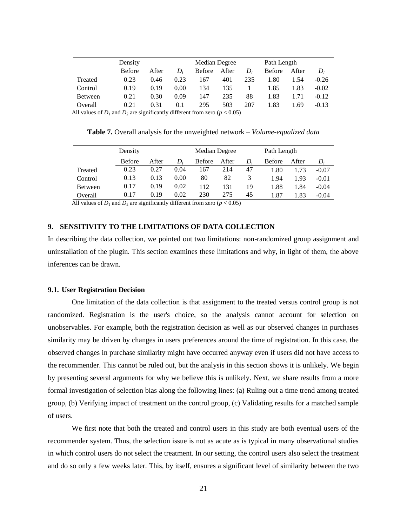|         | Density       |       |      | Median Degree |       |     | Path Length   |       |         |
|---------|---------------|-------|------|---------------|-------|-----|---------------|-------|---------|
|         | <b>Before</b> | After | D.   | <b>Before</b> | After | D.  | <b>Before</b> | After | $D_i$   |
| Treated | 0.23          | 0.46  | 0.23 | 167           | 401   | 235 | .80           | 1.54  | $-0.26$ |
| Control | 0.19          | 0.19  | 0.00 | 134           | 135   |     | 1.85          | 1.83  | $-0.02$ |
| Between | 0.21          | 0.30  | 0.09 | 147           | 235   | 88  | 1.83          | .71   | $-0.12$ |
| Overall | 0.21          | 0.31  | 0.1  | 295           | 503   | 207 | l.83          | 69    | $-0.13$ |

All values of  $D_1$  and  $D_2$  are significantly different from zero ( $p < 0.05$ )

**Table 7.** Overall analysis for the unweighted network – *Volume-equalized data*

|         | Density       |       |      | Median Degree |       |       | Path Length   |       |         |
|---------|---------------|-------|------|---------------|-------|-------|---------------|-------|---------|
|         | <b>Before</b> | After | D:   | <b>Before</b> | After | $D_i$ | <b>Before</b> | After | D,      |
| Treated | 0.23          | 0.27  | 0.04 | .67           | 214   | 47    | 1.80          | l .73 | $-0.07$ |
| Control | 0.13          | 0.13  | 0.00 | 80            | 82    |       | 1.94          | 1.93  | $-0.01$ |
| Between | 0.17          | 0.19  | 0.02 | 112           | 131   | 19    | 1.88          | 1.84  | $-0.04$ |
| Overall | 0.17          | 0.19  | 0.02 | 230           | 275   | 45    | 1.87          | 1.83  | $-0.04$ |

All values of  $D_1$  and  $D_2$  are significantly different from zero ( $p < 0.05$ )

# **9. SENSITIVITY TO THE LIMITATIONS OF DATA COLLECTION**

In describing the data collection, we pointed out two limitations: non-randomized group assignment and uninstallation of the plugin. This section examines these limitations and why, in light of them, the above inferences can be drawn.

#### **9.1. User Registration Decision**

One limitation of the data collection is that assignment to the treated versus control group is not randomized. Registration is the user's choice, so the analysis cannot account for selection on unobservables. For example, both the registration decision as well as our observed changes in purchases similarity may be driven by changes in users preferences around the time of registration. In this case, the observed changes in purchase similarity might have occurred anyway even if users did not have access to the recommender. This cannot be ruled out, but the analysis in this section shows it is unlikely. We begin by presenting several arguments for why we believe this is unlikely. Next, we share results from a more formal investigation of selection bias along the following lines: (a) Ruling out a time trend among treated group, (b) Verifying impact of treatment on the control group, (c) Validating results for a matched sample of users.

We first note that both the treated and control users in this study are both eventual users of the recommender system. Thus, the selection issue is not as acute as is typical in many observational studies in which control users do not select the treatment. In our setting, the control users also select the treatment and do so only a few weeks later. This, by itself, ensures a significant level of similarity between the two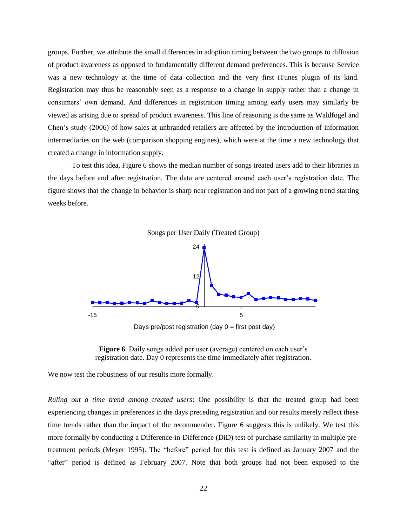groups. Further, we attribute the small differences in adoption timing between the two groups to diffusion of product awareness as opposed to fundamentally different demand preferences. This is because Service was a new technology at the time of data collection and the very first iTunes plugin of its kind. Registration may thus be reasonably seen as a response to a change in supply rather than a change in consumers' own demand. And differences in registration timing among early users may similarly be viewed as arising due to spread of product awareness. This line of reasoning is the same as Waldfogel and Chen's study (2006) of how sales at unbranded retailers are affected by the introduction of information intermediaries on the web (comparison shopping engines), which were at the time a new technology that created a change in information supply.

To test this idea, Figure 6 shows the median number of songs treated users add to their libraries in the days before and after registration. The data are centered around each user's registration date. The figure shows that the change in behavior is sharp near registration and not part of a growing trend starting weeks before.



Days pre/post registration (day  $0 =$  first post day)



We now test the robustness of our results more formally.

*Ruling out a time trend among treated users*: One possibility is that the treated group had been experiencing changes in preferences in the days preceding registration and our results merely reflect these time trends rather than the impact of the recommender. Figure 6 suggests this is unlikely. We test this more formally by conducting a Difference-in-Difference (DiD) test of purchase similarity in multiple pretreatment periods (Meyer 1995). The "before" period for this test is defined as January 2007 and the "after" period is defined as February 2007. Note that both groups had not been exposed to the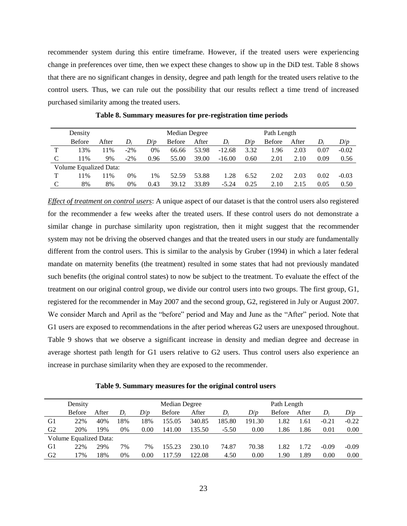recommender system during this entire timeframe. However, if the treated users were experiencing change in preferences over time, then we expect these changes to show up in the DiD test. Table 8 shows that there are no significant changes in density, degree and path length for the treated users relative to the control users. Thus, we can rule out the possibility that our results reflect a time trend of increased purchased similarity among the treated users.

|               | Density                |       |        |      | Median Degree |       |          |      | Path Length   |       |       |         |  |
|---------------|------------------------|-------|--------|------|---------------|-------|----------|------|---------------|-------|-------|---------|--|
|               | <b>Before</b>          | After | D,     | D/p  | <b>Before</b> | After | D,       | D/p  | <b>Before</b> | After | $D_i$ | D/p     |  |
| ௱             | 13%                    | 11%   | $-2\%$ | 0%   | 66.66         | 53.98 | $-12.68$ | 3.32 | .96           | 2.03  | 0.07  | $-0.02$ |  |
| $\mathcal{C}$ | 11%                    | 9%    | $-2\%$ | 0.96 | 55.00         | 39.00 | $-16.00$ | 0.60 | 2.01          | 2.10  | 0.09  | 0.56    |  |
|               | Volume Equalized Data: |       |        |      |               |       |          |      |               |       |       |         |  |
| ௱             | 11%                    | 11%   | 0%     | 1%   | 52.59         | 53.88 | 1.28     | 6.52 | 2.02          | 2.03  | 0.02  | $-0.03$ |  |
|               | 8%                     | 8%    | 0%     | 0.43 | 39.12         | 33.89 | $-5.24$  | 0.25 | 2.10          | 2.15  | 0.05  | 0.50    |  |

**Table 8. Summary measures for pre-registration time periods**

*Effect of treatment on control users*: A unique aspect of our dataset is that the control users also registered for the recommender a few weeks after the treated users. If these control users do not demonstrate a similar change in purchase similarity upon registration, then it might suggest that the recommender system may not be driving the observed changes and that the treated users in our study are fundamentally different from the control users. This is similar to the analysis by Gruber (1994) in which a later federal mandate on maternity benefits (the treatment) resulted in some states that had not previously mandated such benefits (the original control states) to now be subject to the treatment. To evaluate the effect of the treatment on our original control group, we divide our control users into two groups. The first group, G1, registered for the recommender in May 2007 and the second group, G2, registered in July or August 2007. We consider March and April as the "before" period and May and June as the "After" period. Note that G1 users are exposed to recommendations in the after period whereas G2 users are unexposed throughout. Table 9 shows that we observe a significant increase in density and median degree and decrease in average shortest path length for G1 users relative to G2 users. Thus control users also experience an increase in purchase similarity when they are exposed to the recommender.

**Table 9. Summary measures for the original control users**

|                | Density                |       |     |      | Median Degree |        |         |        | Path Length   |       |         |         |
|----------------|------------------------|-------|-----|------|---------------|--------|---------|--------|---------------|-------|---------|---------|
|                | <b>Before</b>          | After | D;  | D/p  | <b>Before</b> | After  | D.      | D/p    | <b>Before</b> | After | D,      | D/p     |
| G1             | 22%                    | 40%   | 18% | 18%  | 155.05        | 340.85 | 185.80  | 191.30 | 1.82          | 61    | $-0.21$ | $-0.22$ |
| G2             | 20%                    | 19%   | 0%  | 0.00 | 141.00        | 135.50 | $-5.50$ | 0.00   | . 86          | .86   | 0.01    | 0.00    |
|                | Volume Equalized Data: |       |     |      |               |        |         |        |               |       |         |         |
| G1             | 22%                    | 29%   | 7%  | 7%   | 155.23        | 230.10 | 74.87   | 70.38  | 1.82          | .72   | $-0.09$ | $-0.09$ |
| G <sub>2</sub> | 7%                     | 18%   | 0%  | 0.00 | 117.59        | 122.08 | 4.50    | 0.00   | .90           | .89   | 0.00    | 0.00    |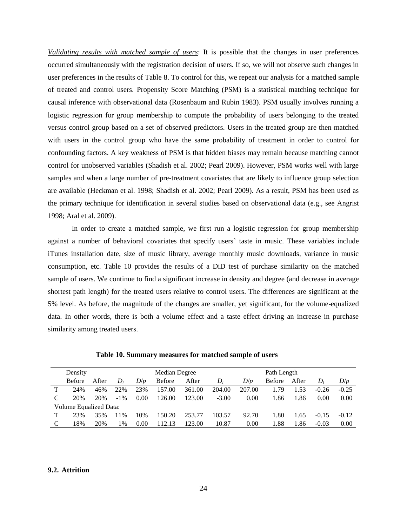*Validating results with matched sample of users*: It is possible that the changes in user preferences occurred simultaneously with the registration decision of users. If so, we will not observe such changes in user preferences in the results of Table 8. To control for this, we repeat our analysis for a matched sample of treated and control users. Propensity Score Matching (PSM) is a statistical matching technique for causal inference with observational data (Rosenbaum and Rubin 1983). PSM usually involves running a logistic regression for group membership to compute the probability of users belonging to the treated versus control group based on a set of observed predictors. Users in the treated group are then matched with users in the control group who have the same probability of treatment in order to control for confounding factors. A key weakness of PSM is that hidden biases may remain because matching cannot control for unobserved variables (Shadish et al. 2002; Pearl 2009). However, PSM works well with large samples and when a large number of pre-treatment covariates that are likely to influence group selection are available (Heckman et al. 1998; Shadish et al. 2002; Pearl 2009). As a result, PSM has been used as the primary technique for identification in several studies based on observational data (e.g., see Angrist 1998; Aral et al. 2009).

In order to create a matched sample, we first run a logistic regression for group membership against a number of behavioral covariates that specify users' taste in music. These variables include iTunes installation date, size of music library, average monthly music downloads, variance in music consumption, etc. Table 10 provides the results of a DiD test of purchase similarity on the matched sample of users. We continue to find a significant increase in density and degree (and decrease in average shortest path length) for the treated users relative to control users. The differences are significant at the 5% level. As before, the magnitude of the changes are smaller, yet significant, for the volume-equalized data. In other words, there is both a volume effect and a taste effect driving an increase in purchase similarity among treated users.

|   | Density                |       |               |      | Median Degree    |        | Path Length |        |               |       |         |         |  |  |
|---|------------------------|-------|---------------|------|------------------|--------|-------------|--------|---------------|-------|---------|---------|--|--|
|   | <b>Before</b>          | After | $D_i$         | D/p  | <b>Before</b>    | After  | D.          | D/p    | <b>Before</b> | After | $D_i$   | D/p     |  |  |
| ᅲ | 24%                    | 46%   | 22%           | 23%  | 157.00           | 361.00 | 204.00      | 207.00 | 1.79          | 1.53  | $-0.26$ | $-0.25$ |  |  |
| C | 20%                    | 20%   | $-1\%$        | 0.00 | 126.00           | 123.00 | $-3.00$     | 0.00   | 1.86          | 1.86  | 0.00    | 0.00    |  |  |
|   | Volume Equalized Data: |       |               |      |                  |        |             |        |               |       |         |         |  |  |
| ௱ | 23%                    | 35%   | 11%           | 10%  | 150.20           | 253.77 | 103.57      | 92.70  | 1.80          | 1.65  | $-0.15$ | $-0.12$ |  |  |
|   | 18%                    | 20%   | $\frac{0}{0}$ | 0.00 | 12 <sup>12</sup> | 123.00 | 10.87       | 0.00   | l.88          | .86   | $-0.03$ | 0.00    |  |  |

**Table 10. Summary measures for matched sample of users**

#### **9.2. Attrition**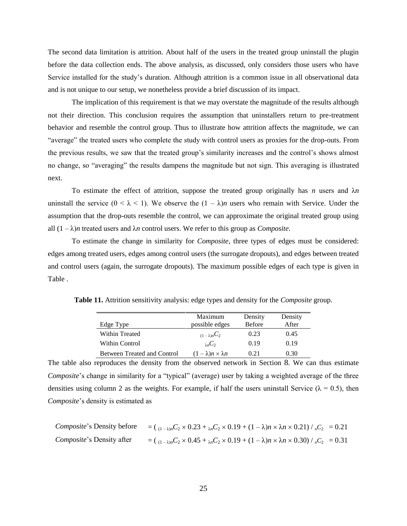The second data limitation is attrition. About half of the users in the treated group uninstall the plugin before the data collection ends. The above analysis, as discussed, only considers those users who have Service installed for the study's duration. Although attrition is a common issue in all observational data and is not unique to our setup, we nonetheless provide a brief discussion of its impact.

The implication of this requirement is that we may overstate the magnitude of the results although not their direction. This conclusion requires the assumption that uninstallers return to pre-treatment behavior and resemble the control group. Thus to illustrate how attrition affects the magnitude, we can "average" the treated users who complete the study with control users as proxies for the drop-outs. From the previous results, we saw that the treated group's similarity increases and the control's shows almost no change, so "averaging" the results dampens the magnitude but not sign. This averaging is illustrated next.

To estimate the effect of attrition, suppose the treated group originally has *n* users and λ*n* uninstall the service  $(0 < \lambda < 1)$ . We observe the  $(1 - \lambda)n$  users who remain with Service. Under the assumption that the drop-outs resemble the control, we can approximate the original treated group using all  $(1 - \lambda)n$  treated users and  $\lambda n$  control users. We refer to this group as *Composite*.

To estimate the change in similarity for *Composite*, three types of edges must be considered: edges among treated users, edges among control users (the surrogate dropouts), and edges between treated and control users (again, the surrogate dropouts). The maximum possible edges of each type is given in [Table .](#page-26-0)

|                             | Maximum                           | Density       | Density |
|-----------------------------|-----------------------------------|---------------|---------|
| Edge Type                   | possible edges                    | <b>Before</b> | After   |
| Within Treated              | $(1-\lambda)nC_2$                 | 0.23          | 0.45    |
| Within Control              | $_{\lambda n}C_2$                 | 0.19          | 0.19    |
| Between Treated and Control | $(1 - \lambda)n \times \lambda n$ | (121)         | 0.30    |

<span id="page-26-0"></span>**Table 11.** Attrition sensitivity analysis: edge types and density for the *Composite* group.

The table also reproduces the density from the observed network in Section [8](#page-20-2). We can thus estimate *Composite*'s change in similarity for a "typical" (average) user by taking a weighted average of the three densities using column 2 as the weights. For example, if half the users uninstall Service ( $\lambda = 0.5$ ), then *Composite*'s density is estimated as

*Composite's* Density before 
$$
= ( (1 - \lambda)n C_2 \times 0.23 + \lambda n C_2 \times 0.19 + (1 - \lambda)n \times \lambda n \times 0.21) / nC_2 = 0.21
$$
\n*Composite's* Density after  $= ( (1 - \lambda)n C_2 \times 0.45 + \lambda n C_2 \times 0.19 + (1 - \lambda)n \times \lambda n \times 0.30) / nC_2 = 0.31$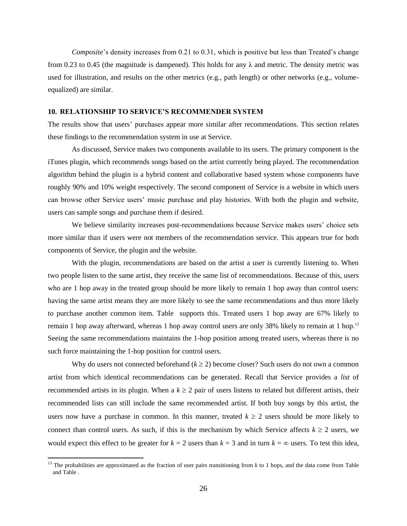*Composite*'s density increases from 0.21 to 0.31, which is positive but less than Treated's change from 0.23 to 0.45 (the magnitude is dampened). This holds for any  $\lambda$  and metric. The density metric was used for illustration, and results on the other metrics (e.g., path length) or other networks (e.g., volumeequalized) are similar.

# **10. RELATIONSHIP TO SERVICE'S RECOMMENDER SYSTEM**

The results show that users' purchases appear more similar after recommendations. This section relates these findings to the recommendation system in use at Service.

As discussed, Service makes two components available to its users. The primary component is the iTunes plugin, which recommends songs based on the artist currently being played. The recommendation algorithm behind the plugin is a hybrid content and collaborative based system whose components have roughly 90% and 10% weight respectively. The second component of Service is a website in which users can browse other Service users' music purchase and play histories. With both the plugin and website, users can sample songs and purchase them if desired.

We believe similarity increases post-recommendations because Service makes users' choice sets more similar than if users were not members of the recommendation service. This appears true for both components of Service, the plugin and the website.

With the plugin, recommendations are based on the artist a user is currently listening to. When two people listen to the same artist, they receive the same list of recommendations. Because of this, users who are 1 hop away in the treated group should be more likely to remain 1 hop away than control users: having the same artist means they are more likely to see the same recommendations and thus more likely to purchase another common item. [Table](#page-28-0) supports this. Treated users 1 hop away are 67% likely to remain 1 hop away afterward, whereas 1 hop away control users are only 38% likely to remain at 1 hop.<sup>13</sup> Seeing the same recommendations maintains the 1-hop position among treated users, whereas there is no such force maintaining the 1-hop position for control users.

Why do users not connected beforehand  $(k \ge 2)$  become closer? Such users do not own a common artist from which identical recommendations can be generated. Recall that Service provides a *list* of recommended artists in its plugin. When a  $k \ge 2$  pair of users listens to related but different artists, their recommended lists can still include the same recommended artist. If both buy songs by this artist, the users now have a purchase in common. In this manner, treated  $k \geq 2$  users should be more likely to connect than control users. As such, if this is the mechanism by which Service affects  $k \ge 2$  users, we would expect this effect to be greater for  $k = 2$  users than  $k = 3$  and in turn  $k = \infty$  users. To test this idea,

 $\overline{a}$ 

<sup>&</sup>lt;sup>13</sup> The probabilities are approximated as the fraction of user pairs transitioning from  $k$  to 1 hops, and the data come from Table an[d Table .](#page-20-0)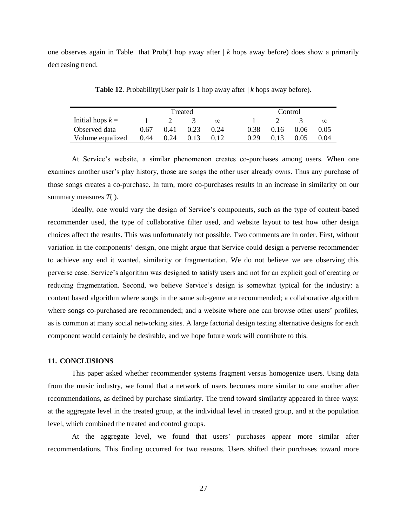one observes again in [Table](#page-28-0) that Prob(1 hop away after  $|k|$  hops away before) does show a primarily decreasing trend.

<span id="page-28-0"></span>

|                    | Treated |      |      |          |      | Control |      |          |  |  |
|--------------------|---------|------|------|----------|------|---------|------|----------|--|--|
| Initial hops $k =$ |         |      |      | $\infty$ |      |         |      | $\infty$ |  |  |
| Observed data      | 0.67    | 0.41 | 0.23 | 0.24     | 0.38 | 0.16    | 0.06 | 0.05     |  |  |
| Volume equalized   | 0.44    | 0.24 | 0.13 | 0.12     | 0.29 | 0.13    | 0.05 | 0.04     |  |  |

**Table 12**. Probability(User pair is 1 hop away after | *k* hops away before).

At Service's website, a similar phenomenon creates co-purchases among users. When one examines another user's play history, those are songs the other user already owns. Thus any purchase of those songs creates a co-purchase. In turn, more co-purchases results in an increase in similarity on our summary measures *T*( ).

Ideally, one would vary the design of Service's components, such as the type of content-based recommender used, the type of collaborative filter used, and website layout to test how other design choices affect the results. This was unfortunately not possible. Two comments are in order. First, without variation in the components' design, one might argue that Service could design a perverse recommender to achieve any end it wanted, similarity or fragmentation. We do not believe we are observing this perverse case. Service's algorithm was designed to satisfy users and not for an explicit goal of creating or reducing fragmentation. Second, we believe Service's design is somewhat typical for the industry: a content based algorithm where songs in the same sub-genre are recommended; a collaborative algorithm where songs co-purchased are recommended; and a website where one can browse other users' profiles, as is common at many social networking sites. A large factorial design testing alternative designs for each component would certainly be desirable, and we hope future work will contribute to this.

#### **11. CONCLUSIONS**

This paper asked whether recommender systems fragment versus homogenize users. Using data from the music industry, we found that a network of users becomes more similar to one another after recommendations, as defined by purchase similarity. The trend toward similarity appeared in three ways: at the aggregate level in the treated group, at the individual level in treated group, and at the population level, which combined the treated and control groups.

At the aggregate level, we found that users' purchases appear more similar after recommendations. This finding occurred for two reasons. Users shifted their purchases toward more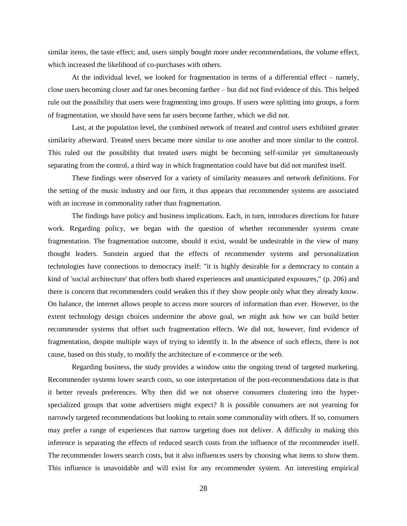similar items, the taste effect; and, users simply bought more under recommendations, the volume effect, which increased the likelihood of co-purchases with others.

At the individual level, we looked for fragmentation in terms of a differential effect – namely, close users becoming closer and far ones becoming farther – but did not find evidence of this. This helped rule out the possibility that users were fragmenting into groups. If users were splitting into groups, a form of fragmentation, we should have seen far users become farther, which we did not.

Last, at the population level, the combined network of treated and control users exhibited greater similarity afterward. Treated users became more similar to one another and more similar to the control. This ruled out the possibility that treated users might be becoming self-similar yet simultaneously separating from the control, a third way in which fragmentation could have but did not manifest itself.

These findings were observed for a variety of similarity measures and network definitions. For the setting of the music industry and our firm, it thus appears that recommender systems are associated with an increase in commonality rather than fragmentation.

The findings have policy and business implications. Each, in turn, introduces directions for future work. Regarding policy, we began with the question of whether recommender systems create fragmentation. The fragmentation outcome, should it exist, would be undesirable in the view of many thought leaders. Sunstein argued that the effects of recommender systems and personalization technologies have connections to democracy itself: "it is highly desirable for a democracy to contain a kind of 'social architecture' that offers both shared experiences and unanticipated exposures," (p. 206) and there is concern that recommenders could weaken this if they show people only what they already know. On balance, the internet allows people to access more sources of information than ever. However, to the extent technology design choices undermine the above goal, we might ask how we can build better recommender systems that offset such fragmentation effects. We did not, however, find evidence of fragmentation, despite multiple ways of trying to identify it. In the absence of such effects, there is not cause, based on this study, to modify the architecture of e-commerce or the web.

Regarding business, the study provides a window onto the ongoing trend of targeted marketing. Recommender systems lower search costs, so one interpretation of the post-recommendations data is that it better reveals preferences. Why then did we not observe consumers clustering into the hyperspecialized groups that some advertisers might expect? It is possible consumers are not yearning for narrowly targeted recommendations but looking to retain some commonality with others. If so, consumers may prefer a range of experiences that narrow targeting does not deliver. A difficulty in making this inference is separating the effects of reduced search costs from the influence of the recommender itself. The recommender lowers search costs, but it also influences users by choosing what items to show them. This influence is unavoidable and will exist for any recommender system. An interesting empirical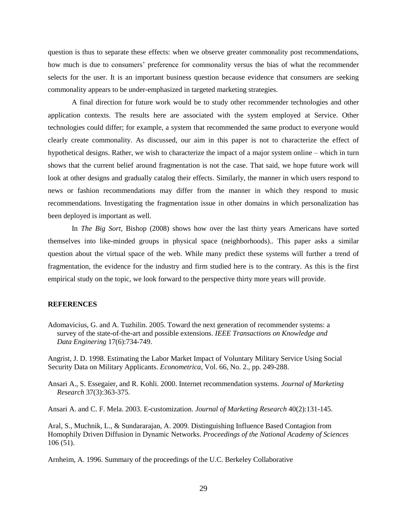question is thus to separate these effects: when we observe greater commonality post recommendations, how much is due to consumers' preference for commonality versus the bias of what the recommender selects for the user. It is an important business question because evidence that consumers are seeking commonality appears to be under-emphasized in targeted marketing strategies.

A final direction for future work would be to study other recommender technologies and other application contexts. The results here are associated with the system employed at Service. Other technologies could differ; for example, a system that recommended the same product to everyone would clearly create commonality. As discussed, our aim in this paper is not to characterize the effect of hypothetical designs. Rather, we wish to characterize the impact of a major system online – which in turn shows that the current belief around fragmentation is not the case. That said, we hope future work will look at other designs and gradually catalog their effects. Similarly, the manner in which users respond to news or fashion recommendations may differ from the manner in which they respond to music recommendations. Investigating the fragmentation issue in other domains in which personalization has been deployed is important as well.

In *The Big Sort*, Bishop (2008) shows how over the last thirty years Americans have sorted themselves into like-minded groups in physical space (neighborhoods).. This paper asks a similar question about the virtual space of the web. While many predict these systems will further a trend of fragmentation, the evidence for the industry and firm studied here is to the contrary. As this is the first empirical study on the topic, we look forward to the perspective thirty more years will provide.

# **REFERENCES**

Adomavicius, G. and A. Tuzhilin. 2005. Toward the next generation of recommender systems: a survey of the state-of-the-art and possible extensions. *IEEE Transactions on Knowledge and Data Enginering* 17(6):734-749.

Angrist, J. D. 1998. Estimating the Labor Market Impact of Voluntary Military Service Using Social Security Data on Military Applicants. *Econometrica*, Vol. 66, No. 2., pp. 249-288.

Ansari A., S. Essegaier, and R. Kohli. 2000. Internet recommendation systems. *Journal of Marketing Research* 37(3):363-375.

Ansari A. and C. F. Mela. 2003. E-customization. *Journal of Marketing Research* 40(2):131-145.

Aral, S., Muchnik, L., & Sundararajan, A. 2009. Distinguishing Influence Based Contagion from Homophily Driven Diffusion in Dynamic Networks. *Proceedings of the National Academy of Sciences* 106 (51).

Arnheim, A. 1996. Summary of the proceedings of the U.C. Berkeley Collaborative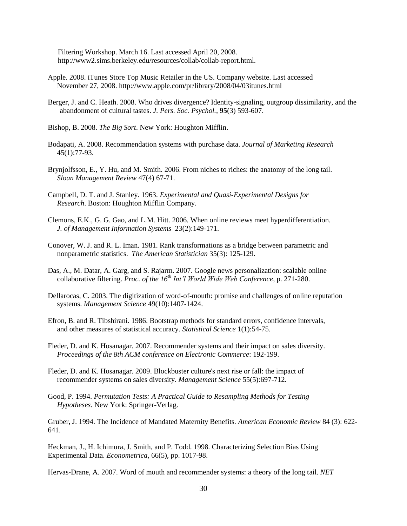Filtering Workshop. March 16. Last accessed April 20, 2008. http://www2.sims.berkeley.edu/resources/collab/collab-report.html.

- Apple. 2008. iTunes Store Top Music Retailer in the US. Company website. Last accessed November 27, 2008. http://www.apple.com/pr/library/2008/04/03itunes.html
- Berger, J. and C. Heath. 2008. Who drives divergence? Identity-signaling, outgroup dissimilarity, and the abandonment of cultural tastes. *J. Pers. Soc. Psychol.*, **95**(3) 593-607.
- Bishop, B. 2008. *The Big Sort*. New York: Houghton Mifflin.
- Bodapati, A. 2008. Recommendation systems with purchase data. *Journal of Marketing Research*  45(1):77-93.
- Brynjolfsson, E., Y. Hu, and M. Smith. 2006. From niches to riches: the anatomy of the long tail. *Sloan Management Review* 47(4) 67-71.
- Campbell, D. T. and J. Stanley. 1963. *Experimental and Quasi-Experimental Designs for Research*. Boston: Houghton Mifflin Company.
- Clemons, E.K., G. G. Gao, and L.M. Hitt. 2006. When online reviews meet hyperdifferentiation. *J. of Management Information Systems* 23(2):149-171.
- Conover, W. J. and R. L. Iman. 1981. Rank transformations as a bridge between parametric and nonparametric statistics. *The American Statistician* 35(3): 125-129.
- Das, A., M. Datar, A. Garg, and S. Rajarm. 2007. Google news personalization: scalable online collaborative filtering. *Proc. of the 16th Int'l World Wide Web Conference*, p. 271-280.
- Dellarocas, C. 2003. The digitization of word-of-mouth: promise and challenges of online reputation systems. *Management Science* 49(10):1407-1424.
- Efron, B. and R. Tibshirani. 1986. Bootstrap methods for standard errors, confidence intervals, and other measures of statistical accuracy. *Statistical Science* 1(1):54-75.
- Fleder, D. and K. Hosanagar. 2007. Recommender systems and their impact on sales diversity. *Proceedings of the 8th ACM conference on Electronic Commerce*: 192-199.
- Fleder, D. and K. Hosanagar. 2009. Blockbuster culture's next rise or fall: the impact of recommender systems on sales diversity. *Management Science* 55(5):697-712.
- Good, P. 1994. *Permutation Tests: A Practical Guide to Resampling Methods for Testing Hypotheses*. New York: Springer-Verlag.

Gruber, J. 1994. The Incidence of Mandated Maternity Benefits. *American Economic Review* 84 (3): 622- 641.

Heckman, J., H. Ichimura, J. Smith, and P. Todd. 1998. Characterizing Selection Bias Using Experimental Data. *Econometrica*, 66(5), pp. 1017-98.

Hervas-Drane, A. 2007. Word of mouth and recommender systems: a theory of the long tail. *NET*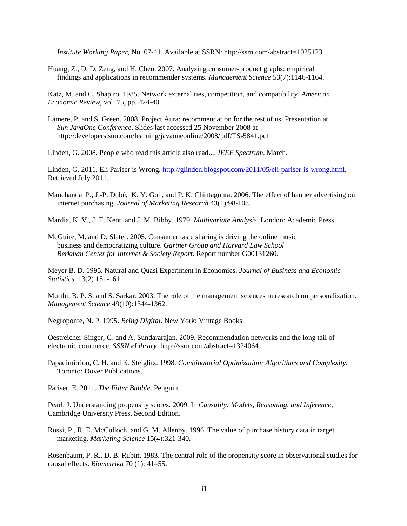*Institute Working Paper*, No. 07-41. Available at SSRN: http://ssrn.com/abstract=1025123

Huang, Z., D. D. Zeng, and H. Chen. 2007. Analyzing consumer-product graphs: empirical findings and applications in recommender systems. *Management Science* 53(7):1146-1164.

Katz, M. and C. Shapiro. 1985. Network externalities, competition, and compatibility. *American Economic Review*, vol. 75, pp. 424-40.

Lamere, P. and S. Green. 2008. Project Aura: recommendation for the rest of us. Presentation at *Sun JavaOne Conference*. Slides last accessed 25 November 2008 at http://developers.sun.com/learning/javaoneonline/2008/pdf/TS-5841.pdf

Linden, G. 2008. People who read this article also read.... *IEEE Spectrum*. March.

Linden, G. 2011. Eli Pariser is Wrong. [http://glinden.blogspot.com/2011/05/eli-pariser-is-wrong.html.](http://glinden.blogspot.com/2011/05/eli-pariser-is-wrong.html) Retrieved July 2011.

Manchanda P., J.-P. Dubé, K. Y. Goh, and P. K. Chintagunta. 2006. The effect of banner advertising on internet purchasing. *Journal of Marketing Research* 43(1):98-108.

Mardia, K. V., J. T. Kent, and J. M. Bibby. 1979. *Multivariate Analysis*. London: Academic Press.

McGuire, M. and D. Slater. 2005. Consumer taste sharing is driving the online music business and democratizing culture. *Gartner Group and Harvard Law School Berkman Center for Internet & Society Report*. Report number G00131260.

Meyer B. D. 1995. Natural and Quasi Experiment in Economics. *Journal of Business and Economic Statistics*. 13(2) 151-161

Murthi, B. P. S. and S. Sarkar. 2003. The role of the management sciences in research on personalization. *Management Science* 49(10):1344-1362.

Negroponte, N. P. 1995. *Being Digital*. New York: Vintage Books.

Oestreicher-Singer, G. and A. Sundararajan. 2009. Recommendation networks and the long tail of electronic commerce. *SSRN eLibrary*, http://ssrn.com/abstract=1324064.

Papadimitriou, C. H. and K. Steiglitz. 1998. *Combinatorial Optimization: Algorithms and Complexity*. Toronto: Dover Publications.

Pariser, E. 2011. *The Filter Bubble*. Penguin.

Pearl, J. Understanding propensity scores. 2009. In *Causality: Models, Reasoning, and Inference*, Cambridge University Press, Second Edition.

Rossi, P., R. E. McCulloch, and G. M. Allenby. 1996. The value of purchase history data in target marketing. *Marketing Science* 15(4):321-340.

Rosenbaum, P. R., D. B. Rubin. 1983. The central role of the propensity score in observational studies for causal effects. *Biometrika* 70 (1): 41–55.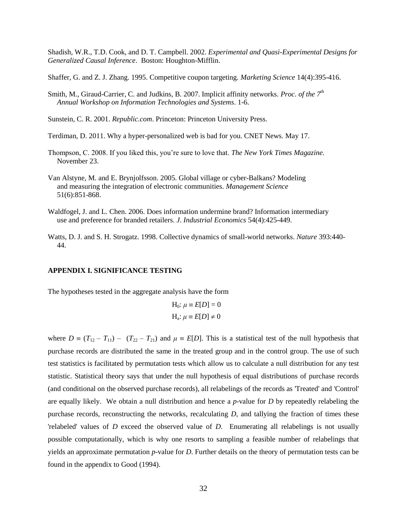Shadish, W.R., T.D. Cook, and D. T. Campbell. 2002. *Experimental and Quasi-Experimental Designs for Generalized Causal Inference*. Boston: Houghton-Mifflin.

Shaffer, G. and Z. J. Zhang. 1995. Competitive coupon targeting. *Marketing Science* 14(4):395-416.

- Smith, M., Giraud-Carrier, C. and Judkins, B. 2007. Implicit affinity networks. *Proc. of the 7th Annual Workshop on Information Technologies and Systems*. 1-6.
- Sunstein, C. R. 2001. *Republic.com*. Princeton: Princeton University Press.

Terdiman, D. 2011. Why a hyper-personalized web is bad for you. CNET News. May 17.

- Thompson, C. 2008. If you liked this, you're sure to love that. *The New York Times Magazine.*  November 23.
- Van Alstyne, M. and E. Brynjolfsson. 2005. Global village or cyber-Balkans? Modeling and measuring the integration of electronic communities. *Management Science* 51(6):851-868.
- Waldfogel, J. and L. Chen. 2006. Does information undermine brand? Information intermediary use and preference for branded retailers. *J*. *Industrial Economics* 54(4):425-449.
- Watts, D. J. and S. H. Strogatz. 1998. Collective dynamics of small-world networks. *Nature* 393:440- 44.

# **APPENDIX I. SIGNIFICANCE TESTING**

The hypotheses tested in the aggregate analysis have the form

$$
H_0: \mu \equiv E[D] = 0
$$
  

$$
H_a: \mu \equiv E[D] \neq 0
$$

where  $D \equiv (T_{12} - T_{11}) - (T_{22} - T_{21})$  and  $\mu \equiv E[D]$ . This is a statistical test of the null hypothesis that purchase records are distributed the same in the treated group and in the control group. The use of such test statistics is facilitated by permutation tests which allow us to calculate a null distribution for any test statistic. Statistical theory says that under the null hypothesis of equal distributions of purchase records (and conditional on the observed purchase records), all relabelings of the records as 'Treated' and 'Control' are equally likely. We obtain a null distribution and hence a *p*-value for *D* by repeatedly relabeling the purchase records, reconstructing the networks, recalculating *D*, and tallying the fraction of times these 'relabeled' values of *D* exceed the observed value of *D*. Enumerating all relabelings is not usually possible computationally, which is why one resorts to sampling a feasible number of relabelings that yields an approximate permutation *p*-value for *D*. Further details on the theory of permutation tests can be found in the appendix to Good (1994).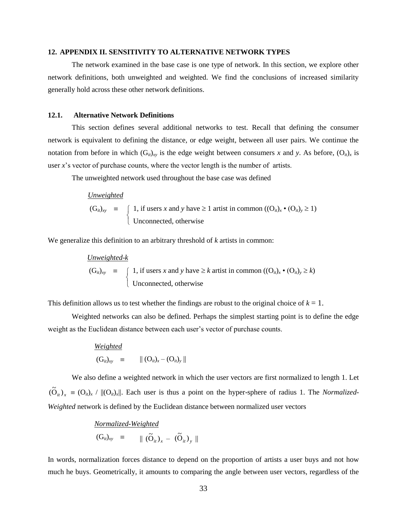#### **12. APPENDIX II. SENSITIVITY TO ALTERNATIVE NETWORK TYPES**

The network examined in the base case is one type of network. In this section, we explore other network definitions, both unweighted and weighted. We find the conclusions of increased similarity generally hold across these other network definitions.

# **12.1. Alternative Network Definitions**

This section defines several additional networks to test. Recall that defining the consumer network is equivalent to defining the distance, or edge weight, between all user pairs. We continue the notation from before in which  $(G_i)_{xy}$  is the edge weight between consumers x and y. As before,  $(O_i)_x$  is user *x*'s vector of purchase counts, where the vector length is the number of artists.

The unweighted network used throughout the base case was defined

| <i>Unweighted</i>                                                                                                                                                                                         |
|-----------------------------------------------------------------------------------------------------------------------------------------------------------------------------------------------------------|
| $(G_{ii})_{xy}$ = $\begin{cases} 1, & \text{if users } x \text{ and } y \text{ have } \geq 1 \text{ artist in common } ((O_{ii})_x \cdot (O_{ii})_y \geq 1) \\ \text{Unconnected, otherwise} \end{cases}$ |

We generalize this definition to an arbitrary threshold of *k* artists in common:

*Unweighted*-*k*  $(G_{it})_{xy}$   $\equiv$  $\overline{\mathcal{L}}$ ↑  $\left( \begin{array}{c} 1, \text{ if users } x \text{ and } y \text{ have } \geq k \text{ artist in common } ((O_{ii})_x \cdot (O_{ii})_y \geq k) \end{array} \right)$ Unconnected, otherwise

This definition allows us to test whether the findings are robust to the original choice of  $k = 1$ .

Weighted networks can also be defined. Perhaps the simplest starting point is to define the edge weight as the Euclidean distance between each user's vector of purchase counts.

Weighted  
\n
$$
(G_{ii})_{xy} \equiv || (O_{ii})_x - (O_{ii})_y ||
$$

We also define a weighted network in which the user vectors are first normalized to length 1. Let  $({\tilde{O}}_{ii})_x \equiv (O_{ii})_x \mid ||(O_{ii})_x||$ . Each user is thus a point on the hyper-sphere of radius 1. The *Normalized*-*Weighted* network is defined by the Euclidean distance between normalized user vectors

# *Normalized-Weighted*

$$
(\mathbf{G}_{it})_{xy} \equiv ||(\widetilde{\mathbf{O}}_{it})_x - (\widetilde{\mathbf{O}}_{it})_y||
$$

In words, normalization forces distance to depend on the proportion of artists a user buys and not how much he buys. Geometrically, it amounts to comparing the angle between user vectors, regardless of the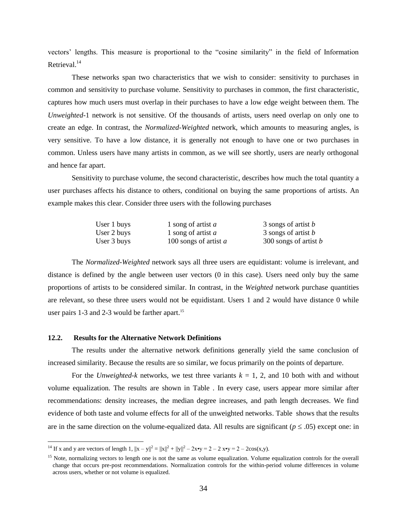vectors' lengths. This measure is proportional to the "cosine similarity" in the field of Information Retrieval.<sup>14</sup>

These networks span two characteristics that we wish to consider: sensitivity to purchases in common and sensitivity to purchase volume. Sensitivity to purchases in common, the first characteristic, captures how much users must overlap in their purchases to have a low edge weight between them. The *Unweighted-*1 network is not sensitive. Of the thousands of artists, users need overlap on only one to create an edge. In contrast, the *Normalized-Weighted* network, which amounts to measuring angles, is very sensitive. To have a low distance, it is generally not enough to have one or two purchases in common. Unless users have many artists in common, as we will see shortly, users are nearly orthogonal and hence far apart.

Sensitivity to purchase volume, the second characteristic, describes how much the total quantity a user purchases affects his distance to others, conditional on buying the same proportions of artists. An example makes this clear. Consider three users with the following purchases

| User 1 buys | 1 song of artist $a$    | 3 songs of artist <i>b</i> |
|-------------|-------------------------|----------------------------|
| User 2 buys | 1 song of artist a      | 3 songs of artist <i>b</i> |
| User 3 buys | 100 songs of artist $a$ | 300 songs of artist b      |

The *Normalized-Weighted* network says all three users are equidistant: volume is irrelevant, and distance is defined by the angle between user vectors (0 in this case). Users need only buy the same proportions of artists to be considered similar. In contrast, in the *Weighted* network purchase quantities are relevant, so these three users would not be equidistant. Users 1 and 2 would have distance 0 while user pairs 1-3 and 2-3 would be farther apart.<sup>15</sup>

# **12.2. Results for the Alternative Network Definitions**

 $\overline{a}$ 

The results under the alternative network definitions generally yield the same conclusion of increased similarity. Because the results are so similar, we focus primarily on the points of departure.

For the *Unweighted-k* networks, we test three variants  $k = 1, 2$ , and 10 both with and without volume equalization. The results are shown in [Table .](#page-39-0) In every case, users appear more similar after recommendations: density increases, the median degree increases, and path length decreases. We find evidence of both taste and volume effects for all of the unweighted networks. [Table](#page-39-1) shows that the results are in the same direction on the volume-equalized data. All results are significant ( $p \le .05$ ) except one: in

<sup>&</sup>lt;sup>14</sup> If x and y are vectors of length 1,  $||x - y||^2 = ||x||^2 + ||y||^2 - 2x \cdot y = 2 - 2 \cdot x \cdot y = 2 - 2\cos(x, y)$ .

<sup>&</sup>lt;sup>15</sup> Note, normalizing vectors to length one is not the same as volume equalization. Volume equalization controls for the overall change that occurs pre-post recommendations. Normalization controls for the within-period volume differences in volume across users, whether or not volume is equalized.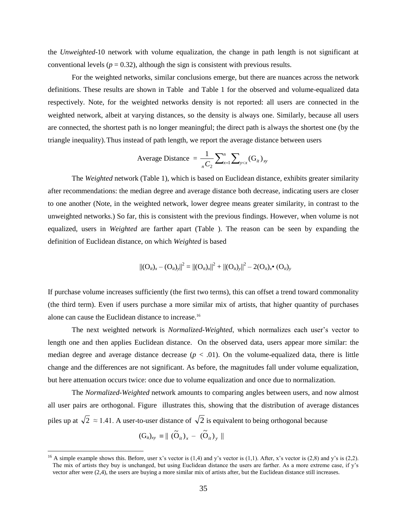the *Unweighted*-10 network with volume equalization, the change in path length is not significant at conventional levels ( $p = 0.32$ ), although the sign is consistent with previous results.

For the weighted networks, similar conclusions emerge, but there are nuances across the network definitions. These results are shown in [Table](#page-40-0) and [Table 1](#page-40-1) for the observed and volume-equalized data respectively. Note, for the weighted networks density is not reported: all users are connected in the weighted network, albeit at varying distances, so the density is always one. Similarly, because all users are connected, the shortest path is no longer meaningful; the direct path is always the shortest one (by the triangle inequality).Thus instead of path length, we report the average distance between users

Average Distance = 
$$
\frac{1}{nC_2} \sum_{x=1}^{n} \sum_{y < x} (\mathbf{G}_{it})_{xy}
$$

The *Weighted* network [\(Table 1\)](#page-40-1), which is based on Euclidean distance, exhibits greater similarity after recommendations: the median degree and average distance both decrease, indicating users are closer to one another (Note, in the weighted network, lower degree means greater similarity, in contrast to the unweighted networks.) So far, this is consistent with the previous findings. However, when volume is not equalized, users in *Weighted* are farther apart [\(Table \)](#page-40-0). The reason can be seen by expanding the definition of Euclidean distance, on which *Weighted* is based

$$
||(O_{ii})_x - (O_{ii})_y||^2 = ||(O_{ii})_x||^2 + ||(O_{ii})_y||^2 - 2(O_{ii})_x \bullet (O_{ii})_y
$$

If purchase volume increases sufficiently (the first two terms), this can offset a trend toward commonality (the third term). Even if users purchase a more similar mix of artists, that higher quantity of purchases alone can cause the Euclidean distance to increase.<sup>16</sup>

The next weighted network is *Normalized-Weighted*, which normalizes each user's vector to length one and then applies Euclidean distance. On the observed data, users appear more similar: the median degree and average distance decrease  $(p < .01)$ . On the volume-equalized data, there is little change and the differences are not significant. As before, the magnitudes fall under volume equalization, but here attenuation occurs twice: once due to volume equalization and once due to normalization.

The *Normalized-Weighted* network amounts to comparing angles between users, and now almost all user pairs are orthogonal. [Figure](#page-37-0) illustrates this, showing that the distribution of average distances piles up at  $\sqrt{2} \approx 1.41$ . A user-to-user distance of  $\sqrt{2}$  is equivalent to being orthogonal because

$$
(\mathrm{G}_{it})_{xy} \equiv || (\widetilde{\mathrm{O}}_{it})_{x} - (\widetilde{\mathrm{O}}_{it})_{y} ||
$$

 $\overline{a}$ 

<sup>&</sup>lt;sup>16</sup> A simple example shows this. Before, user x's vector is  $(1,4)$  and y's vector is  $(1,1)$ . After, x's vector is  $(2,8)$  and y's is  $(2,2)$ . The mix of artists they buy is unchanged, but using Euclidean distance the users are farther. As a more extreme case, if y's vector after were (2,4), the users are buying a more similar mix of artists after, but the Euclidean distance still increases.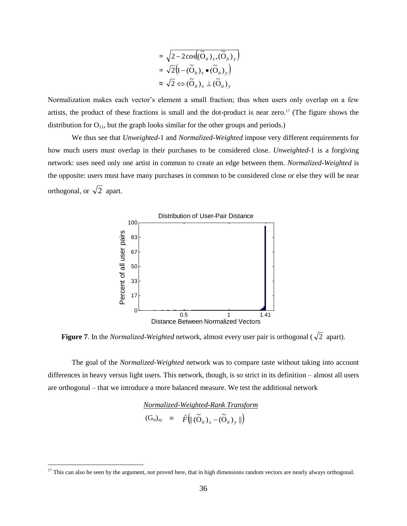$$
= \sqrt{2 - 2\cos((\widetilde{\mathbf{O}}_{ii})_x, (\widetilde{\mathbf{O}}_{ii})_y)}
$$
  
=  $\sqrt{2}(1 - (\widetilde{\mathbf{O}}_{ii})_x \bullet (\widetilde{\mathbf{O}}_{ii})_y)$   
 $\approx \sqrt{2} \Leftrightarrow (\widetilde{\mathbf{O}}_{ii})_x \perp (\widetilde{\mathbf{O}}_{ii})_y$ 

Normalization makes each vector's element a small fraction; thus when users only overlap on a few artists, the product of these fractions is small and the dot-product is near zero.<sup>17</sup> (The figure shows the distribution for  $O_{11}$ , but the graph looks similar for the other groups and periods.)

We thus see that *Unweighted*-1 and *Normalized-Weighted* impose very different requirements for how much users must overlap in their purchases to be considered close. *Unweighted*-1 is a forgiving network: uses need only one artist in common to create an edge between them. *Normalized-Weighted* is the opposite: users must have many purchases in common to be considered close or else they will be near orthogonal, or  $\sqrt{2}$  apart.



<span id="page-37-0"></span>**Figure 7**. In the *Normalized-Weighted* network, almost every user pair is orthogonal ( $\sqrt{2}$  apart).

The goal of the *Normalized-Weighted* network was to compare taste without taking into account differences in heavy versus light users. This network, though, is so strict in its definition – almost all users are orthogonal – that we introduce a more balanced measure. We test the additional network

*Normalized-Weighted-Rank Transform*

$$
(\mathbf{G}_{it})_{xy} = \hat{F} \left( \parallel (\widetilde{\mathbf{O}}_{it})_x - (\widetilde{\mathbf{O}}_{it})_y \parallel \right)
$$

 $\overline{a}$ 

 $17$  This can also be seen by the argument, not proved here, that in high dimensions random vectors are nearly always orthogonal.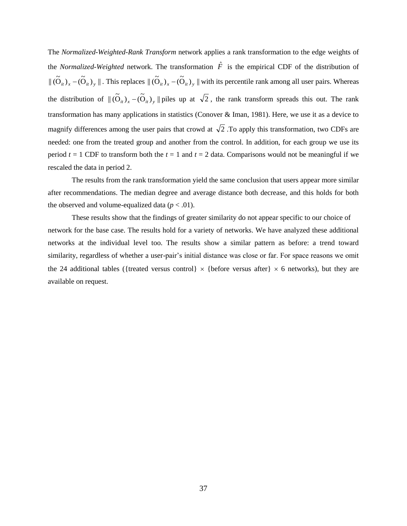The *Normalized-Weighted-Rank Transform* network applies a rank transformation to the edge weights of the *Normalized-Weighted* network. The transformation  $\hat{F}$  is the empirical CDF of the distribution of  $\|\tilde{O}_{ii}\right)_x - \tilde{O}_{ii}\right)_y \|$ . This replaces  $\|\tilde{O}_{ii}\right)_x - \tilde{O}_{ii}\right)_y \|$  with its percentile rank among all user pairs. Whereas the distribution of  $\| (\tilde{O}_{it})_x - (\tilde{O}_{it})_y \|$  piles up at  $\sqrt{2}$ , the rank transform spreads this out. The rank transformation has many applications in statistics (Conover & Iman, 1981). Here, we use it as a device to magnify differences among the user pairs that crowd at  $\sqrt{2}$ . To apply this transformation, two CDFs are needed: one from the treated group and another from the control. In addition, for each group we use its period  $t = 1$  CDF to transform both the  $t = 1$  and  $t = 2$  data. Comparisons would not be meaningful if we rescaled the data in period 2.

The results from the rank transformation yield the same conclusion that users appear more similar after recommendations. The median degree and average distance both decrease, and this holds for both the observed and volume-equalized data  $(p < .01)$ .

These results show that the findings of greater similarity do not appear specific to our choice of network for the base case. The results hold for a variety of networks. We have analyzed these additional networks at the individual level too. The results show a similar pattern as before: a trend toward similarity, regardless of whether a user-pair's initial distance was close or far. For space reasons we omit the 24 additional tables ({treated versus control}  $\times$  {before versus after}  $\times$  6 networks), but they are available on request.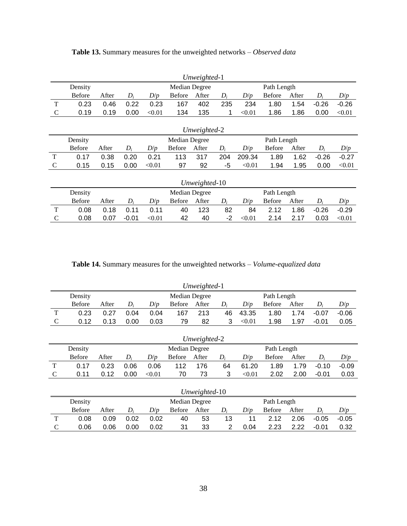|               |               |               |         |        |               | Unweighted-1  |       |             |               |       |         |         |
|---------------|---------------|---------------|---------|--------|---------------|---------------|-------|-------------|---------------|-------|---------|---------|
|               | Density       | Median Degree |         |        |               |               |       | Path Length |               |       |         |         |
|               | <b>Before</b> | After         | $D_i$   | D/p    | <b>Before</b> | After         | $D_i$ | D/p         | <b>Before</b> | After | $D_i$   | D/p     |
| T             | 0.23          | 0.46          | 0.22    | 0.23   | 167           | 402           | 235   | 234         | 1.80          | 1.54  | $-0.26$ | $-0.26$ |
| $\mathcal{C}$ | 0.19          | 0.19          | 0.00    | < 0.01 | 134           | 135           | 1     | < 0.01      | 1.86          | 1.86  | 0.00    | < 0.01  |
|               |               |               |         |        |               |               |       |             |               |       |         |         |
|               | Unweighted-2  |               |         |        |               |               |       |             |               |       |         |         |
|               | Density       |               |         |        | Median Degree |               |       |             | Path Length   |       |         |         |
|               | <b>Before</b> | After         | $D_i$   | D/p    | <b>Before</b> | After         | $D_i$ | D/p         | <b>Before</b> | After | $D_i$   | D/p     |
| T             | 0.17          | 0.38          | 0.20    | 0.21   | 113           | 317           | 204   | 209.34      | 1.89          | 1.62  | $-0.26$ | $-0.27$ |
| $\mathsf{C}$  | 0.15          | 0.15          | 0.00    | < 0.01 | 97            | 92            | -5    | < 0.01      | 1.94          | 1.95  | 0.00    | < 0.01  |
|               |               |               |         |        |               |               |       |             |               |       |         |         |
|               |               |               |         |        |               | Unweighted-10 |       |             |               |       |         |         |
|               | Density       |               |         |        | Median Degree |               |       |             | Path Length   |       |         |         |
|               | <b>Before</b> | After         | $D_i$   | D/p    | <b>Before</b> | After         | $D_i$ | D/p         | <b>Before</b> | After | $D_i$   | D/p     |
| T             | 0.08          | 0.18          | 0.11    | 0.11   | 40            | 123           | 82    | 84          | 2.12          | 1.86  | $-0.26$ | $-0.29$ |
| $\mathsf{C}$  | 0.08          | 0.07          | $-0.01$ | < 0.01 | 42            | 40            | -2    | < 0.01      | 2.14          | 2.17  | 0.03    | < 0.01  |

<span id="page-39-0"></span>**Table 13.** Summary measures for the unweighted networks – *Observed data*

**Table 14.** Summary measures for the unweighted networks – *Volume-equalized data*

<span id="page-39-1"></span>

|               |               |       |       |        |               | Unweighted-1  |             |        |               |       |         |         |
|---------------|---------------|-------|-------|--------|---------------|---------------|-------------|--------|---------------|-------|---------|---------|
|               | Density       |       |       |        | Median Degree |               | Path Length |        |               |       |         |         |
|               | <b>Before</b> | After | $D_i$ | D/p    | <b>Before</b> | After         | $D_i$       | D/p    | <b>Before</b> | After | $D_i$   | D/p     |
| T             | 0.23          | 0.27  | 0.04  | 0.04   | 167           | 213           | 46          | 43.35  | 1.80          | 1.74  | $-0.07$ | $-0.06$ |
| $\mathcal{C}$ | 0.12          | 0.13  | 0.00  | 0.03   | 79            | 82            | 3           | < 0.01 | 1.98          | 1.97  | $-0.01$ | 0.05    |
|               |               |       |       |        |               |               |             |        |               |       |         |         |
| Unweighted-2  |               |       |       |        |               |               |             |        |               |       |         |         |
|               |               |       |       |        |               |               |             |        |               |       |         |         |
|               | Density       |       |       |        | Median Degree |               |             |        | Path Length   |       |         |         |
|               | <b>Before</b> | After | $D_i$ | D/p    | <b>Before</b> | After         | $D_i$       | D/p    | <b>Before</b> | After | $D_i$   | D/p     |
| T             | 0.17          | 0.23  | 0.06  | 0.06   | 112           | 176           | 64          | 61.20  | 1.89          | 1.79  | $-0.10$ | $-0.09$ |
| C             | 0.11          | 0.12  | 0.00  | < 0.01 | 70            | 73            | 3           | < 0.01 | 2.02          | 2.00  | $-0.01$ | 0.03    |
|               |               |       |       |        |               |               |             |        |               |       |         |         |
|               |               |       |       |        |               | Unweighted-10 |             |        |               |       |         |         |

Before After *D<sup>i</sup> D*/*p* Before After *D<sup>i</sup> D*/*p* Before After *D<sup>i</sup> D*/*p* T 0.08 0.09 0.02 0.02 40 53 13 11 2.12 2.06 -0.05 -0.05 C 0.06 0.06 0.00 0.02 31 33 2 0.04 2.23 2.22 -0.01 0.32